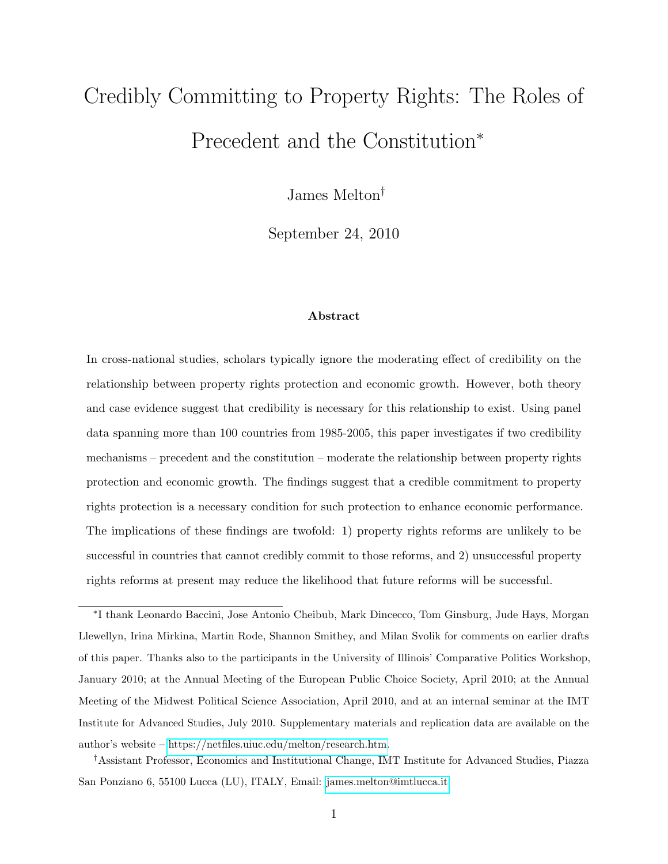# Credibly Committing to Property Rights: The Roles of Precedent and the Constitution<sup>∗</sup>

James Melton†

September 24, 2010

#### Abstract

In cross-national studies, scholars typically ignore the moderating effect of credibility on the relationship between property rights protection and economic growth. However, both theory and case evidence suggest that credibility is necessary for this relationship to exist. Using panel data spanning more than 100 countries from 1985-2005, this paper investigates if two credibility mechanisms – precedent and the constitution – moderate the relationship between property rights protection and economic growth. The findings suggest that a credible commitment to property rights protection is a necessary condition for such protection to enhance economic performance. The implications of these findings are twofold: 1) property rights reforms are unlikely to be successful in countries that cannot credibly commit to those reforms, and 2) unsuccessful property rights reforms at present may reduce the likelihood that future reforms will be successful.

∗ I thank Leonardo Baccini, Jose Antonio Cheibub, Mark Dincecco, Tom Ginsburg, Jude Hays, Morgan Llewellyn, Irina Mirkina, Martin Rode, Shannon Smithey, and Milan Svolik for comments on earlier drafts of this paper. Thanks also to the participants in the University of Illinois' Comparative Politics Workshop, January 2010; at the Annual Meeting of the European Public Choice Society, April 2010; at the Annual Meeting of the Midwest Political Science Association, April 2010, and at an internal seminar at the IMT Institute for Advanced Studies, July 2010. Supplementary materials and replication data are available on the author's website – [https://netfiles.uiuc.edu/melton/research.htm.](https://netfiles.uiuc.edu/melton/research.htm)

†Assistant Professor, Economics and Institutional Change, IMT Institute for Advanced Studies, Piazza San Ponziano 6, 55100 Lucca (LU), ITALY, Email: [james.melton@imtlucca.it](mailto:james.melton@imtlucca.it)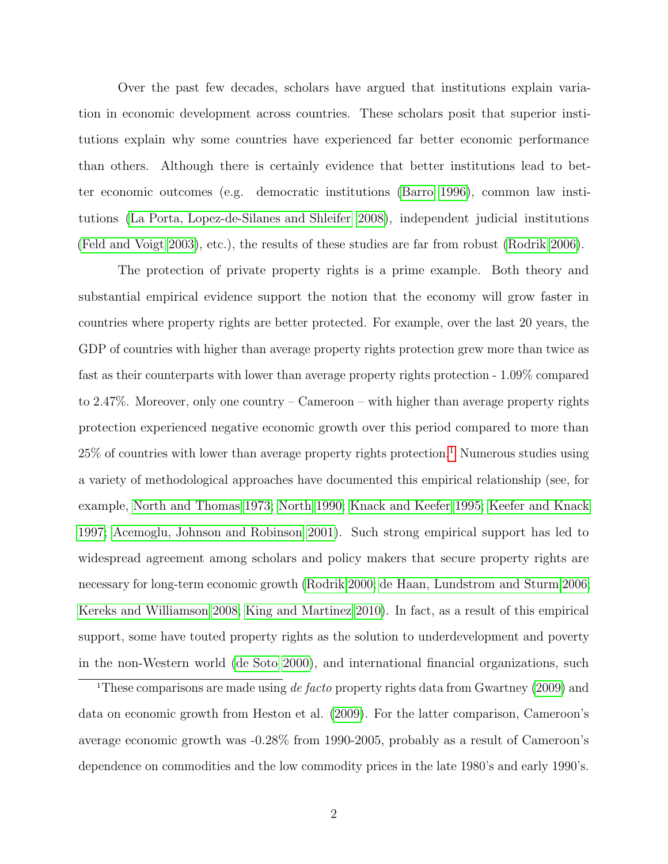Over the past few decades, scholars have argued that institutions explain variation in economic development across countries. These scholars posit that superior institutions explain why some countries have experienced far better economic performance than others. Although there is certainly evidence that better institutions lead to better economic outcomes (e.g. democratic institutions [\(Barro](#page-29-0) [1996\)](#page-29-0), common law institutions [\(La Porta, Lopez-de-Silanes and Shleifer](#page-32-0) [2008\)](#page-32-0), independent judicial institutions [\(Feld and Voigt 2003\)](#page-31-0), etc.), the results of these studies are far from robust [\(Rodrik 2006\)](#page-33-0).

The protection of private property rights is a prime example. Both theory and substantial empirical evidence support the notion that the economy will grow faster in countries where property rights are better protected. For example, over the last 20 years, the GDP of countries with higher than average property rights protection grew more than twice as fast as their counterparts with lower than average property rights protection - 1.09% compared to 2.47%. Moreover, only one country – Cameroon – with higher than average property rights protection experienced negative economic growth over this period compared to more than  $25\%$  of countries with lower than average property rights protection.<sup>[1](#page-1-0)</sup> Numerous studies using a variety of methodological approaches have documented this empirical relationship (see, for example, [North and Thomas](#page-33-1) [1973;](#page-33-1) [North](#page-33-2) [1990;](#page-33-2) [Knack and Keefer](#page-32-1) [1995;](#page-32-1) [Keefer and Knack](#page-32-2) [1997;](#page-32-2) [Acemoglu, Johnson and Robinson](#page-29-1) [2001\)](#page-29-1). Such strong empirical support has led to widespread agreement among scholars and policy makers that secure property rights are necessary for long-term economic growth [\(Rodrik](#page-33-3) [2000;](#page-33-3) [de Haan, Lundstrom and Sturm](#page-30-0) [2006;](#page-30-0) [Kereks and Williamson](#page-32-3) [2008;](#page-32-3) [King and Martinez](#page-32-4) [2010\)](#page-32-4). In fact, as a result of this empirical support, some have touted property rights as the solution to underdevelopment and poverty in the non-Western world [\(de Soto](#page-30-1) [2000\)](#page-30-1), and international financial organizations, such

<span id="page-1-0"></span><sup>&</sup>lt;sup>1</sup>These comparisons are made using  $de$  facto property rights data from Gwartney [\(2009\)](#page-31-1) and data on economic growth from Heston et al. [\(2009\)](#page-31-2). For the latter comparison, Cameroon's average economic growth was -0.28% from 1990-2005, probably as a result of Cameroon's dependence on commodities and the low commodity prices in the late 1980's and early 1990's.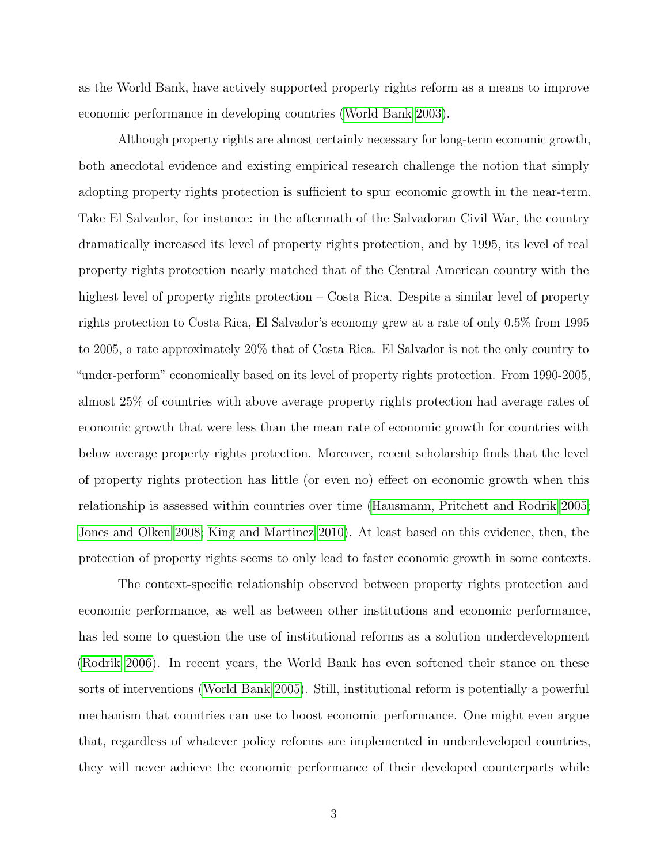as the World Bank, have actively supported property rights reform as a means to improve economic performance in developing countries [\(World Bank 2003\)](#page-34-0).

Although property rights are almost certainly necessary for long-term economic growth, both anecdotal evidence and existing empirical research challenge the notion that simply adopting property rights protection is sufficient to spur economic growth in the near-term. Take El Salvador, for instance: in the aftermath of the Salvadoran Civil War, the country dramatically increased its level of property rights protection, and by 1995, its level of real property rights protection nearly matched that of the Central American country with the highest level of property rights protection – Costa Rica. Despite a similar level of property rights protection to Costa Rica, El Salvador's economy grew at a rate of only 0.5% from 1995 to 2005, a rate approximately 20% that of Costa Rica. El Salvador is not the only country to "under-perform" economically based on its level of property rights protection. From 1990-2005, almost 25% of countries with above average property rights protection had average rates of economic growth that were less than the mean rate of economic growth for countries with below average property rights protection. Moreover, recent scholarship finds that the level of property rights protection has little (or even no) effect on economic growth when this relationship is assessed within countries over time [\(Hausmann, Pritchett and Rodrik](#page-31-3) [2005;](#page-31-3) [Jones and Olken](#page-32-5) [2008;](#page-32-5) [King and Martinez](#page-32-4) [2010\)](#page-32-4). At least based on this evidence, then, the protection of property rights seems to only lead to faster economic growth in some contexts.

The context-specific relationship observed between property rights protection and economic performance, as well as between other institutions and economic performance, has led some to question the use of institutional reforms as a solution underdevelopment [\(Rodrik](#page-33-0) [2006\)](#page-33-0). In recent years, the World Bank has even softened their stance on these sorts of interventions [\(World Bank](#page-34-1) [2005\)](#page-34-1). Still, institutional reform is potentially a powerful mechanism that countries can use to boost economic performance. One might even argue that, regardless of whatever policy reforms are implemented in underdeveloped countries, they will never achieve the economic performance of their developed counterparts while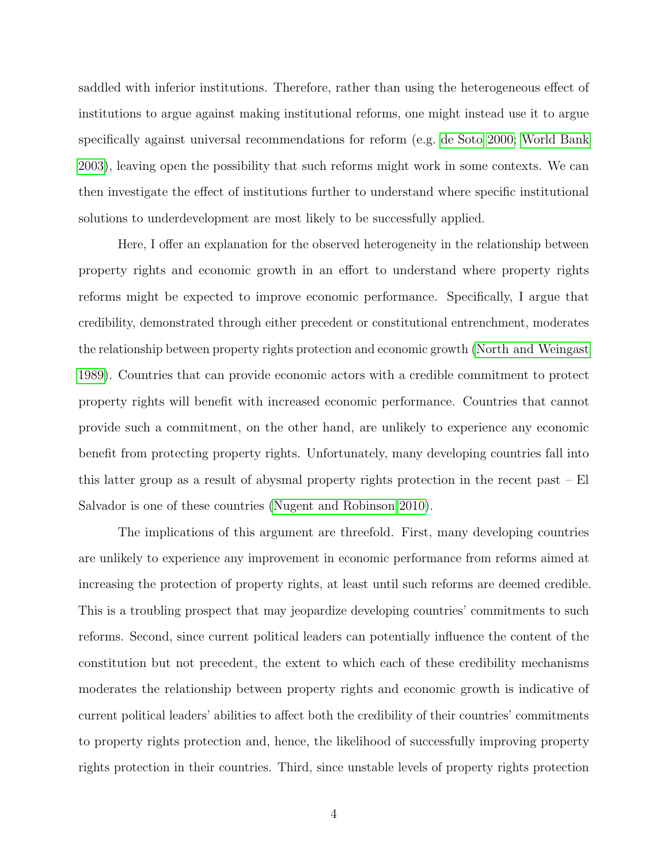saddled with inferior institutions. Therefore, rather than using the heterogeneous effect of institutions to argue against making institutional reforms, one might instead use it to argue specifically against universal recommendations for reform (e.g. [de Soto](#page-30-1) [2000;](#page-30-1) [World Bank](#page-34-0) [2003\)](#page-34-0), leaving open the possibility that such reforms might work in some contexts. We can then investigate the effect of institutions further to understand where specific institutional solutions to underdevelopment are most likely to be successfully applied.

Here, I offer an explanation for the observed heterogeneity in the relationship between property rights and economic growth in an effort to understand where property rights reforms might be expected to improve economic performance. Specifically, I argue that credibility, demonstrated through either precedent or constitutional entrenchment, moderates the relationship between property rights protection and economic growth [\(North and Weingast](#page-33-4) [1989\)](#page-33-4). Countries that can provide economic actors with a credible commitment to protect property rights will benefit with increased economic performance. Countries that cannot provide such a commitment, on the other hand, are unlikely to experience any economic benefit from protecting property rights. Unfortunately, many developing countries fall into this latter group as a result of abysmal property rights protection in the recent past – El Salvador is one of these countries [\(Nugent and Robinson 2010\)](#page-33-5).

The implications of this argument are threefold. First, many developing countries are unlikely to experience any improvement in economic performance from reforms aimed at increasing the protection of property rights, at least until such reforms are deemed credible. This is a troubling prospect that may jeopardize developing countries' commitments to such reforms. Second, since current political leaders can potentially influence the content of the constitution but not precedent, the extent to which each of these credibility mechanisms moderates the relationship between property rights and economic growth is indicative of current political leaders' abilities to affect both the credibility of their countries' commitments to property rights protection and, hence, the likelihood of successfully improving property rights protection in their countries. Third, since unstable levels of property rights protection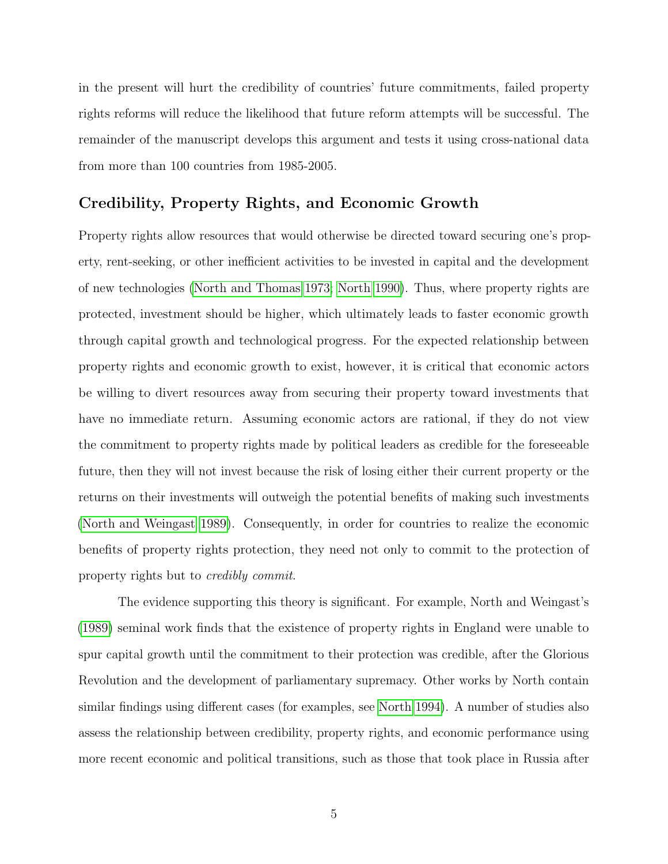in the present will hurt the credibility of countries' future commitments, failed property rights reforms will reduce the likelihood that future reform attempts will be successful. The remainder of the manuscript develops this argument and tests it using cross-national data from more than 100 countries from 1985-2005.

# Credibility, Property Rights, and Economic Growth

Property rights allow resources that would otherwise be directed toward securing one's property, rent-seeking, or other inefficient activities to be invested in capital and the development of new technologies [\(North and Thomas](#page-33-1) [1973;](#page-33-1) [North](#page-33-2) [1990\)](#page-33-2). Thus, where property rights are protected, investment should be higher, which ultimately leads to faster economic growth through capital growth and technological progress. For the expected relationship between property rights and economic growth to exist, however, it is critical that economic actors be willing to divert resources away from securing their property toward investments that have no immediate return. Assuming economic actors are rational, if they do not view the commitment to property rights made by political leaders as credible for the foreseeable future, then they will not invest because the risk of losing either their current property or the returns on their investments will outweigh the potential benefits of making such investments [\(North and Weingast](#page-33-4) [1989\)](#page-33-4). Consequently, in order for countries to realize the economic benefits of property rights protection, they need not only to commit to the protection of property rights but to credibly commit.

The evidence supporting this theory is significant. For example, North and Weingast's [\(1989\)](#page-33-4) seminal work finds that the existence of property rights in England were unable to spur capital growth until the commitment to their protection was credible, after the Glorious Revolution and the development of parliamentary supremacy. Other works by North contain similar findings using different cases (for examples, see [North](#page-33-6) [1994\)](#page-33-6). A number of studies also assess the relationship between credibility, property rights, and economic performance using more recent economic and political transitions, such as those that took place in Russia after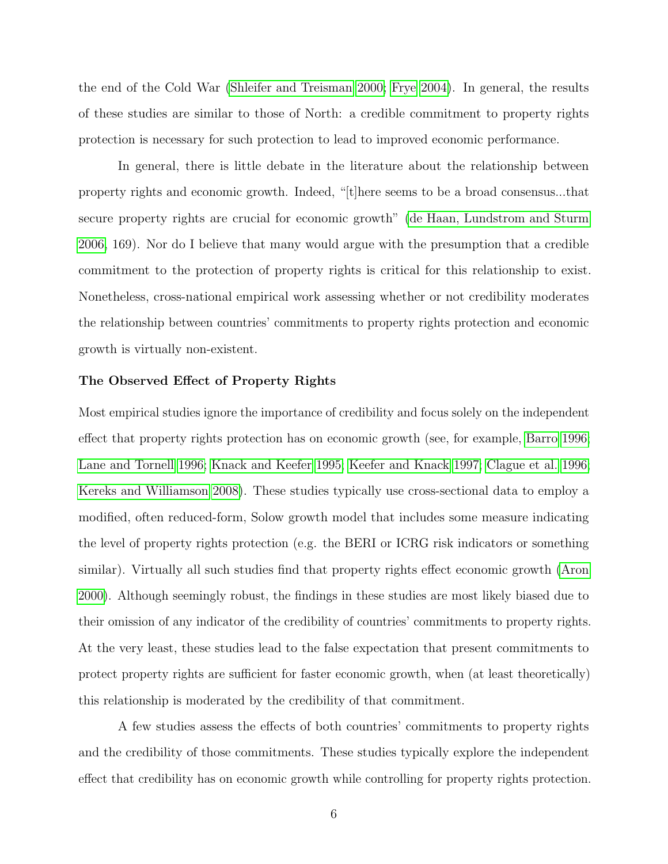the end of the Cold War [\(Shleifer and Treisman](#page-33-7) [2000;](#page-33-7) [Frye](#page-31-4) [2004\)](#page-31-4). In general, the results of these studies are similar to those of North: a credible commitment to property rights protection is necessary for such protection to lead to improved economic performance.

In general, there is little debate in the literature about the relationship between property rights and economic growth. Indeed, "[t]here seems to be a broad consensus...that secure property rights are crucial for economic growth" [\(de Haan, Lundstrom and Sturm](#page-30-0) [2006,](#page-30-0) 169). Nor do I believe that many would argue with the presumption that a credible commitment to the protection of property rights is critical for this relationship to exist. Nonetheless, cross-national empirical work assessing whether or not credibility moderates the relationship between countries' commitments to property rights protection and economic growth is virtually non-existent.

## The Observed Effect of Property Rights

Most empirical studies ignore the importance of credibility and focus solely on the independent effect that property rights protection has on economic growth (see, for example, [Barro](#page-29-0) [1996;](#page-29-0) [Lane and Tornell](#page-32-6) [1996;](#page-32-6) [Knack and Keefer](#page-32-1) [1995;](#page-32-1) [Keefer and Knack](#page-32-2) [1997;](#page-32-2) [Clague et al.](#page-30-2) [1996;](#page-30-2) [Kereks and Williamson](#page-32-3) [2008\)](#page-32-3). These studies typically use cross-sectional data to employ a modified, often reduced-form, Solow growth model that includes some measure indicating the level of property rights protection (e.g. the BERI or ICRG risk indicators or something similar). Virtually all such studies find that property rights effect economic growth [\(Aron](#page-29-2) [2000\)](#page-29-2). Although seemingly robust, the findings in these studies are most likely biased due to their omission of any indicator of the credibility of countries' commitments to property rights. At the very least, these studies lead to the false expectation that present commitments to protect property rights are sufficient for faster economic growth, when (at least theoretically) this relationship is moderated by the credibility of that commitment.

A few studies assess the effects of both countries' commitments to property rights and the credibility of those commitments. These studies typically explore the independent effect that credibility has on economic growth while controlling for property rights protection.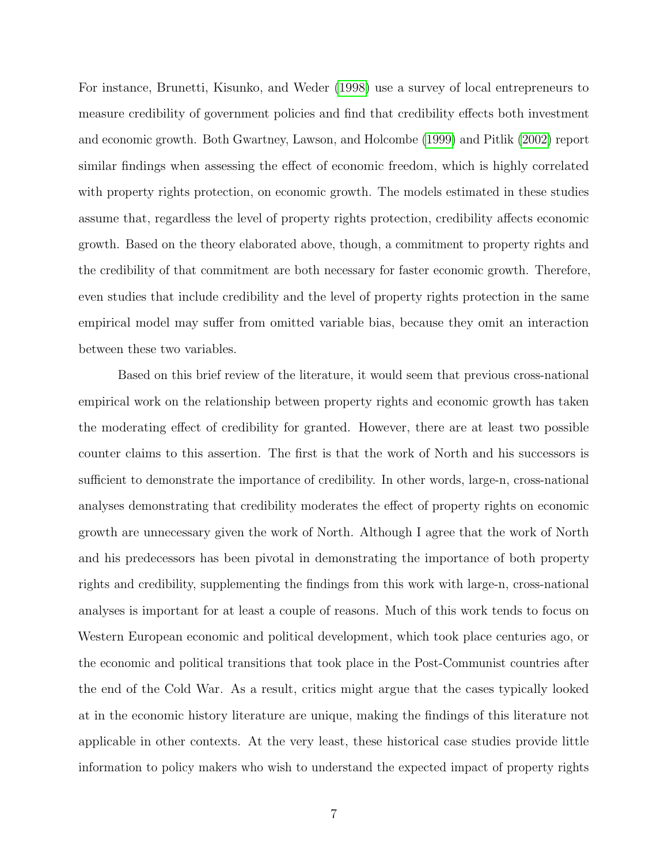For instance, Brunetti, Kisunko, and Weder [\(1998\)](#page-29-3) use a survey of local entrepreneurs to measure credibility of government policies and find that credibility effects both investment and economic growth. Both Gwartney, Lawson, and Holcombe [\(1999\)](#page-31-5) and Pitlik [\(2002\)](#page-33-8) report similar findings when assessing the effect of economic freedom, which is highly correlated with property rights protection, on economic growth. The models estimated in these studies assume that, regardless the level of property rights protection, credibility affects economic growth. Based on the theory elaborated above, though, a commitment to property rights and the credibility of that commitment are both necessary for faster economic growth. Therefore, even studies that include credibility and the level of property rights protection in the same empirical model may suffer from omitted variable bias, because they omit an interaction between these two variables.

Based on this brief review of the literature, it would seem that previous cross-national empirical work on the relationship between property rights and economic growth has taken the moderating effect of credibility for granted. However, there are at least two possible counter claims to this assertion. The first is that the work of North and his successors is sufficient to demonstrate the importance of credibility. In other words, large-n, cross-national analyses demonstrating that credibility moderates the effect of property rights on economic growth are unnecessary given the work of North. Although I agree that the work of North and his predecessors has been pivotal in demonstrating the importance of both property rights and credibility, supplementing the findings from this work with large-n, cross-national analyses is important for at least a couple of reasons. Much of this work tends to focus on Western European economic and political development, which took place centuries ago, or the economic and political transitions that took place in the Post-Communist countries after the end of the Cold War. As a result, critics might argue that the cases typically looked at in the economic history literature are unique, making the findings of this literature not applicable in other contexts. At the very least, these historical case studies provide little information to policy makers who wish to understand the expected impact of property rights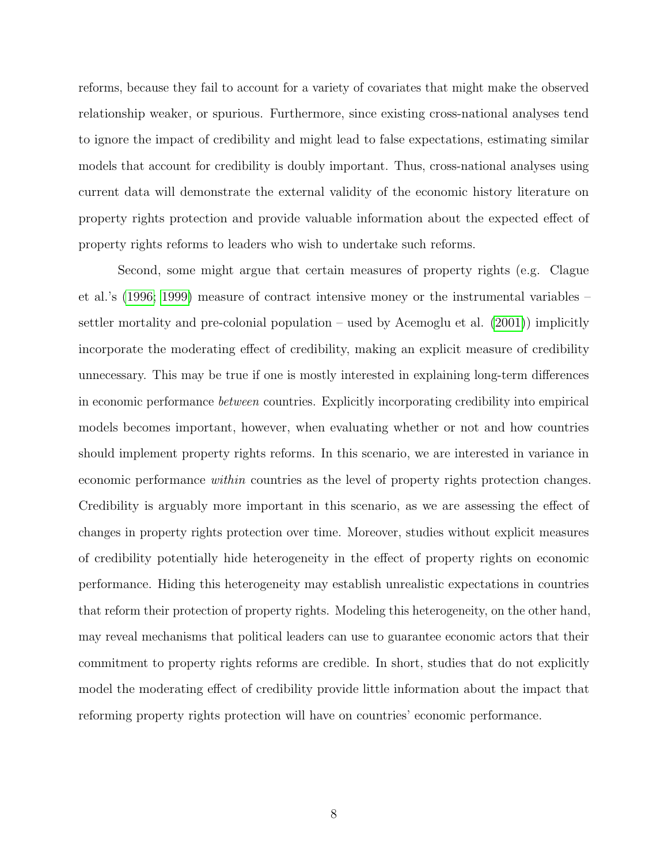reforms, because they fail to account for a variety of covariates that might make the observed relationship weaker, or spurious. Furthermore, since existing cross-national analyses tend to ignore the impact of credibility and might lead to false expectations, estimating similar models that account for credibility is doubly important. Thus, cross-national analyses using current data will demonstrate the external validity of the economic history literature on property rights protection and provide valuable information about the expected effect of property rights reforms to leaders who wish to undertake such reforms.

Second, some might argue that certain measures of property rights (e.g. Clague et al.'s [\(1996;](#page-30-2) [1999\)](#page-30-3) measure of contract intensive money or the instrumental variables – settler mortality and pre-colonial population – used by Acemoglu et al. [\(2001\)](#page-29-1)) implicitly incorporate the moderating effect of credibility, making an explicit measure of credibility unnecessary. This may be true if one is mostly interested in explaining long-term differences in economic performance between countries. Explicitly incorporating credibility into empirical models becomes important, however, when evaluating whether or not and how countries should implement property rights reforms. In this scenario, we are interested in variance in economic performance within countries as the level of property rights protection changes. Credibility is arguably more important in this scenario, as we are assessing the effect of changes in property rights protection over time. Moreover, studies without explicit measures of credibility potentially hide heterogeneity in the effect of property rights on economic performance. Hiding this heterogeneity may establish unrealistic expectations in countries that reform their protection of property rights. Modeling this heterogeneity, on the other hand, may reveal mechanisms that political leaders can use to guarantee economic actors that their commitment to property rights reforms are credible. In short, studies that do not explicitly model the moderating effect of credibility provide little information about the impact that reforming property rights protection will have on countries' economic performance.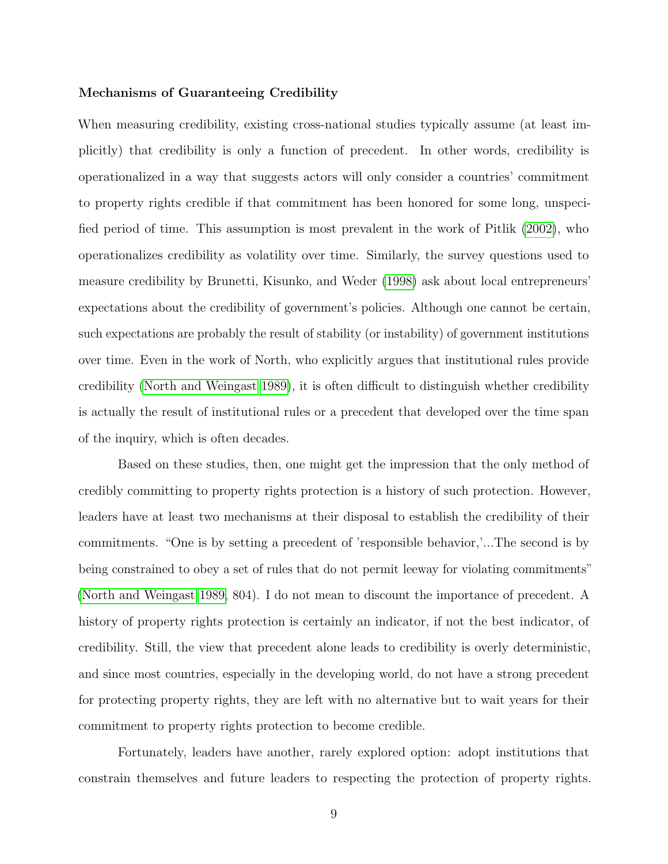## Mechanisms of Guaranteeing Credibility

When measuring credibility, existing cross-national studies typically assume (at least implicitly) that credibility is only a function of precedent. In other words, credibility is operationalized in a way that suggests actors will only consider a countries' commitment to property rights credible if that commitment has been honored for some long, unspecified period of time. This assumption is most prevalent in the work of Pitlik [\(2002\)](#page-33-8), who operationalizes credibility as volatility over time. Similarly, the survey questions used to measure credibility by Brunetti, Kisunko, and Weder [\(1998\)](#page-29-3) ask about local entrepreneurs' expectations about the credibility of government's policies. Although one cannot be certain, such expectations are probably the result of stability (or instability) of government institutions over time. Even in the work of North, who explicitly argues that institutional rules provide credibility [\(North and Weingast 1989\)](#page-33-4), it is often difficult to distinguish whether credibility is actually the result of institutional rules or a precedent that developed over the time span of the inquiry, which is often decades.

Based on these studies, then, one might get the impression that the only method of credibly committing to property rights protection is a history of such protection. However, leaders have at least two mechanisms at their disposal to establish the credibility of their commitments. "One is by setting a precedent of 'responsible behavior,'...The second is by being constrained to obey a set of rules that do not permit leeway for violating commitments" [\(North and Weingast](#page-33-4) [1989,](#page-33-4) 804). I do not mean to discount the importance of precedent. A history of property rights protection is certainly an indicator, if not the best indicator, of credibility. Still, the view that precedent alone leads to credibility is overly deterministic, and since most countries, especially in the developing world, do not have a strong precedent for protecting property rights, they are left with no alternative but to wait years for their commitment to property rights protection to become credible.

Fortunately, leaders have another, rarely explored option: adopt institutions that constrain themselves and future leaders to respecting the protection of property rights.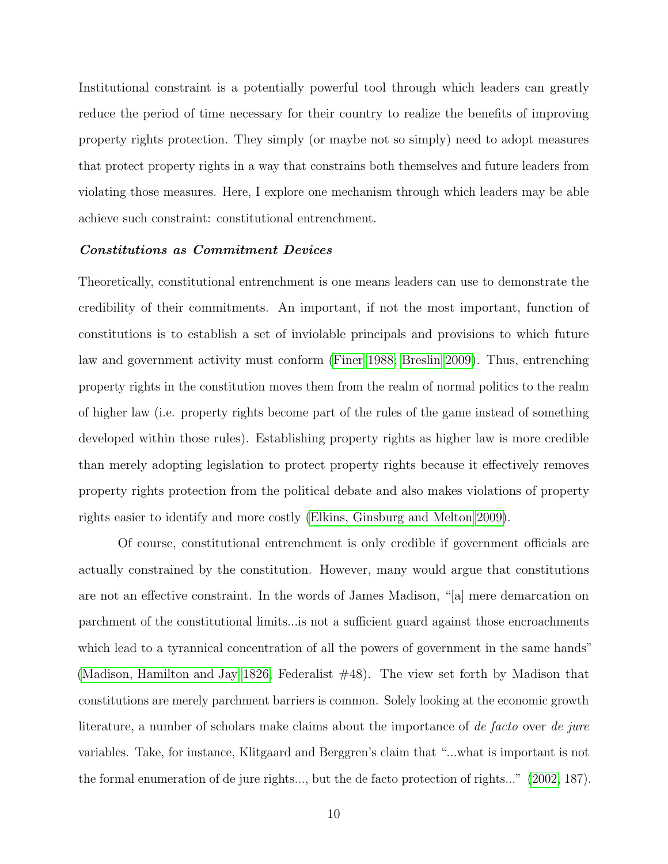Institutional constraint is a potentially powerful tool through which leaders can greatly reduce the period of time necessary for their country to realize the benefits of improving property rights protection. They simply (or maybe not so simply) need to adopt measures that protect property rights in a way that constrains both themselves and future leaders from violating those measures. Here, I explore one mechanism through which leaders may be able achieve such constraint: constitutional entrenchment.

### Constitutions as Commitment Devices

Theoretically, constitutional entrenchment is one means leaders can use to demonstrate the credibility of their commitments. An important, if not the most important, function of constitutions is to establish a set of inviolable principals and provisions to which future law and government activity must conform [\(Finer](#page-31-6) [1988;](#page-31-6) [Breslin](#page-29-4) [2009\)](#page-29-4). Thus, entrenching property rights in the constitution moves them from the realm of normal politics to the realm of higher law (i.e. property rights become part of the rules of the game instead of something developed within those rules). Establishing property rights as higher law is more credible than merely adopting legislation to protect property rights because it effectively removes property rights protection from the political debate and also makes violations of property rights easier to identify and more costly [\(Elkins, Ginsburg and Melton 2009\)](#page-30-4).

Of course, constitutional entrenchment is only credible if government officials are actually constrained by the constitution. However, many would argue that constitutions are not an effective constraint. In the words of James Madison, "[a] mere demarcation on parchment of the constitutional limits...is not a sufficient guard against those encroachments which lead to a tyrannical concentration of all the powers of government in the same hands" [\(Madison, Hamilton and Jay](#page-32-7) [1826,](#page-32-7) Federalist #48). The view set forth by Madison that constitutions are merely parchment barriers is common. Solely looking at the economic growth literature, a number of scholars make claims about the importance of de facto over de jure variables. Take, for instance, Klitgaard and Berggren's claim that "...what is important is not the formal enumeration of de jure rights..., but the de facto protection of rights..." [\(2002,](#page-32-8) 187).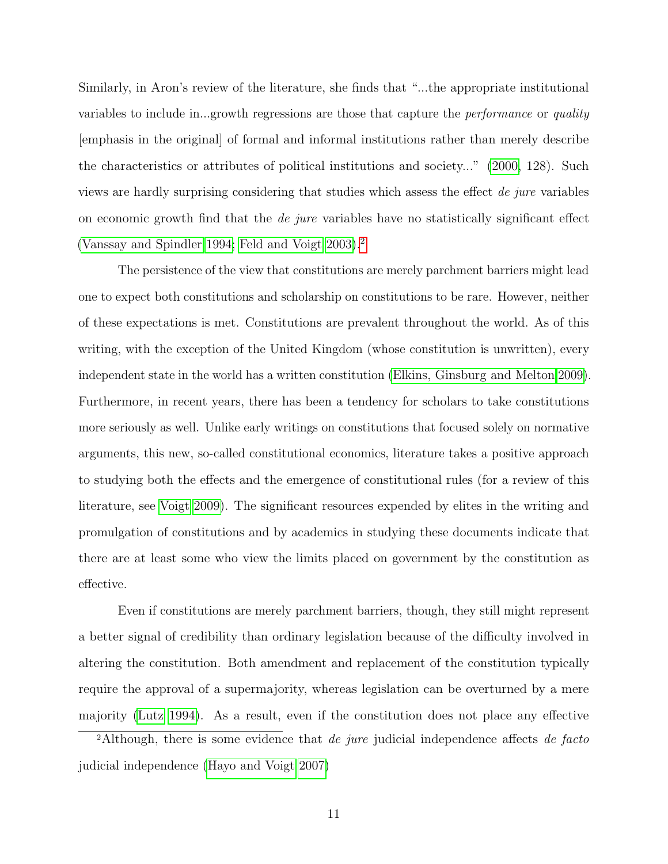Similarly, in Aron's review of the literature, she finds that "...the appropriate institutional variables to include in...growth regressions are those that capture the *performance* or *quality* [emphasis in the original] of formal and informal institutions rather than merely describe the characteristics or attributes of political institutions and society..." [\(2000,](#page-29-2) 128). Such views are hardly surprising considering that studies which assess the effect de jure variables on economic growth find that the *de jure* variables have no statistically significant effect [\(Vanssay and Spindler 1994;](#page-34-2) [Feld and Voigt 2003\)](#page-31-0).[2](#page-10-0)

The persistence of the view that constitutions are merely parchment barriers might lead one to expect both constitutions and scholarship on constitutions to be rare. However, neither of these expectations is met. Constitutions are prevalent throughout the world. As of this writing, with the exception of the United Kingdom (whose constitution is unwritten), every independent state in the world has a written constitution [\(Elkins, Ginsburg and Melton](#page-30-4) [2009\)](#page-30-4). Furthermore, in recent years, there has been a tendency for scholars to take constitutions more seriously as well. Unlike early writings on constitutions that focused solely on normative arguments, this new, so-called constitutional economics, literature takes a positive approach to studying both the effects and the emergence of constitutional rules (for a review of this literature, see [Voigt](#page-34-3) [2009\)](#page-34-3). The significant resources expended by elites in the writing and promulgation of constitutions and by academics in studying these documents indicate that there are at least some who view the limits placed on government by the constitution as effective.

Even if constitutions are merely parchment barriers, though, they still might represent a better signal of credibility than ordinary legislation because of the difficulty involved in altering the constitution. Both amendment and replacement of the constitution typically require the approval of a supermajority, whereas legislation can be overturned by a mere majority [\(Lutz](#page-32-9) [1994\)](#page-32-9). As a result, even if the constitution does not place any effective

<span id="page-10-0"></span><sup>2</sup>Although, there is some evidence that *de jure* judicial independence affects *de facto* judicial independence [\(Hayo and Voigt 2007\)](#page-31-7)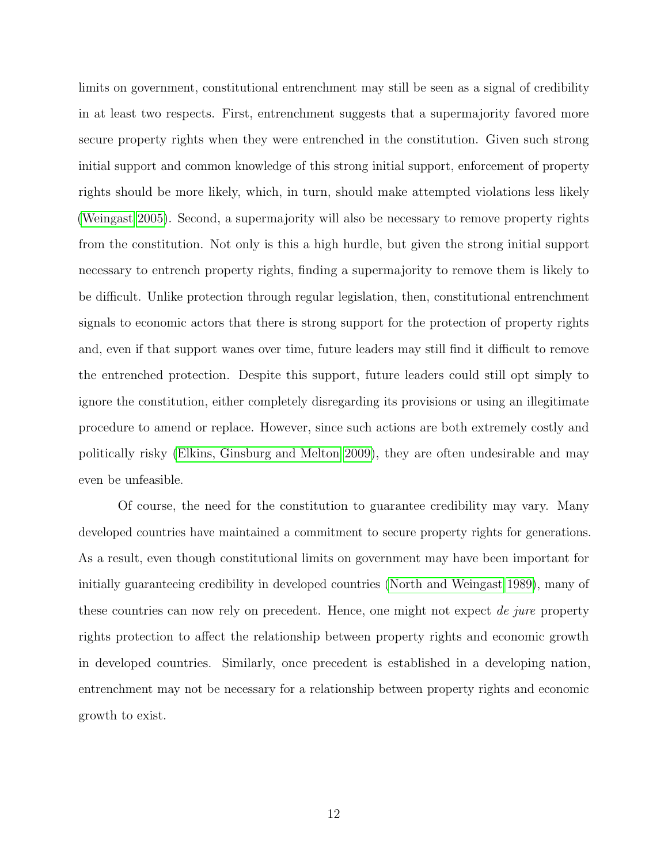limits on government, constitutional entrenchment may still be seen as a signal of credibility in at least two respects. First, entrenchment suggests that a supermajority favored more secure property rights when they were entrenched in the constitution. Given such strong initial support and common knowledge of this strong initial support, enforcement of property rights should be more likely, which, in turn, should make attempted violations less likely [\(Weingast](#page-34-4) [2005\)](#page-34-4). Second, a supermajority will also be necessary to remove property rights from the constitution. Not only is this a high hurdle, but given the strong initial support necessary to entrench property rights, finding a supermajority to remove them is likely to be difficult. Unlike protection through regular legislation, then, constitutional entrenchment signals to economic actors that there is strong support for the protection of property rights and, even if that support wanes over time, future leaders may still find it difficult to remove the entrenched protection. Despite this support, future leaders could still opt simply to ignore the constitution, either completely disregarding its provisions or using an illegitimate procedure to amend or replace. However, since such actions are both extremely costly and politically risky [\(Elkins, Ginsburg and Melton](#page-30-4) [2009\)](#page-30-4), they are often undesirable and may even be unfeasible.

Of course, the need for the constitution to guarantee credibility may vary. Many developed countries have maintained a commitment to secure property rights for generations. As a result, even though constitutional limits on government may have been important for initially guaranteeing credibility in developed countries [\(North and Weingast](#page-33-4) [1989\)](#page-33-4), many of these countries can now rely on precedent. Hence, one might not expect de jure property rights protection to affect the relationship between property rights and economic growth in developed countries. Similarly, once precedent is established in a developing nation, entrenchment may not be necessary for a relationship between property rights and economic growth to exist.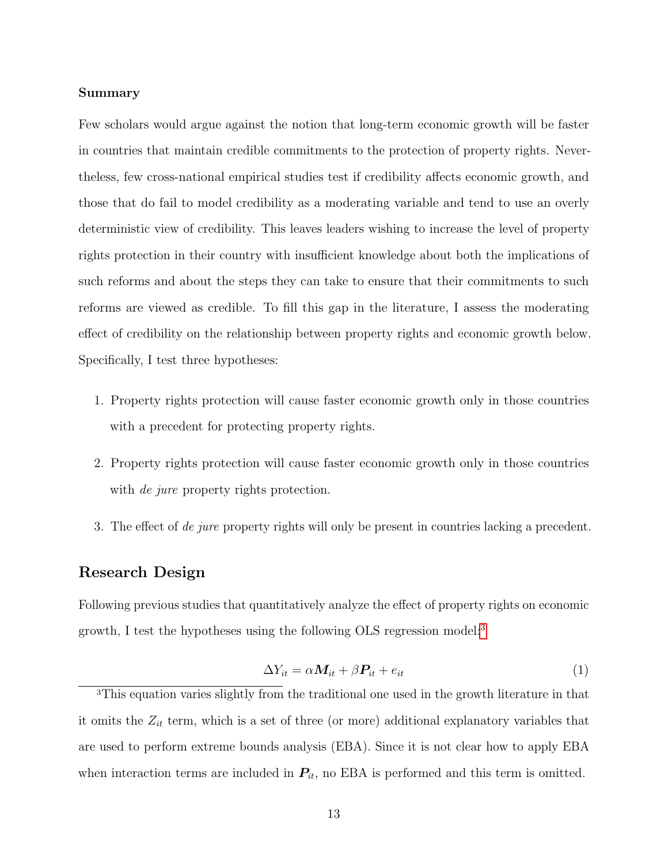#### Summary

Few scholars would argue against the notion that long-term economic growth will be faster in countries that maintain credible commitments to the protection of property rights. Nevertheless, few cross-national empirical studies test if credibility affects economic growth, and those that do fail to model credibility as a moderating variable and tend to use an overly deterministic view of credibility. This leaves leaders wishing to increase the level of property rights protection in their country with insufficient knowledge about both the implications of such reforms and about the steps they can take to ensure that their commitments to such reforms are viewed as credible. To fill this gap in the literature, I assess the moderating effect of credibility on the relationship between property rights and economic growth below. Specifically, I test three hypotheses:

- 1. Property rights protection will cause faster economic growth only in those countries with a precedent for protecting property rights.
- 2. Property rights protection will cause faster economic growth only in those countries with *de jure* property rights protection.
- 3. The effect of de jure property rights will only be present in countries lacking a precedent.

# Research Design

Following previous studies that quantitatively analyze the effect of property rights on economic growth, I test the hypotheses using the following OLS regression model:<sup>[3](#page-12-0)</sup>

<span id="page-12-1"></span>
$$
\Delta Y_{it} = \alpha \mathbf{M}_{it} + \beta \mathbf{P}_{it} + e_{it} \tag{1}
$$

<span id="page-12-0"></span><sup>3</sup>This equation varies slightly from the traditional one used in the growth literature in that it omits the  $Z_{it}$  term, which is a set of three (or more) additional explanatory variables that are used to perform extreme bounds analysis (EBA). Since it is not clear how to apply EBA when interaction terms are included in  $P_{it}$ , no EBA is performed and this term is omitted.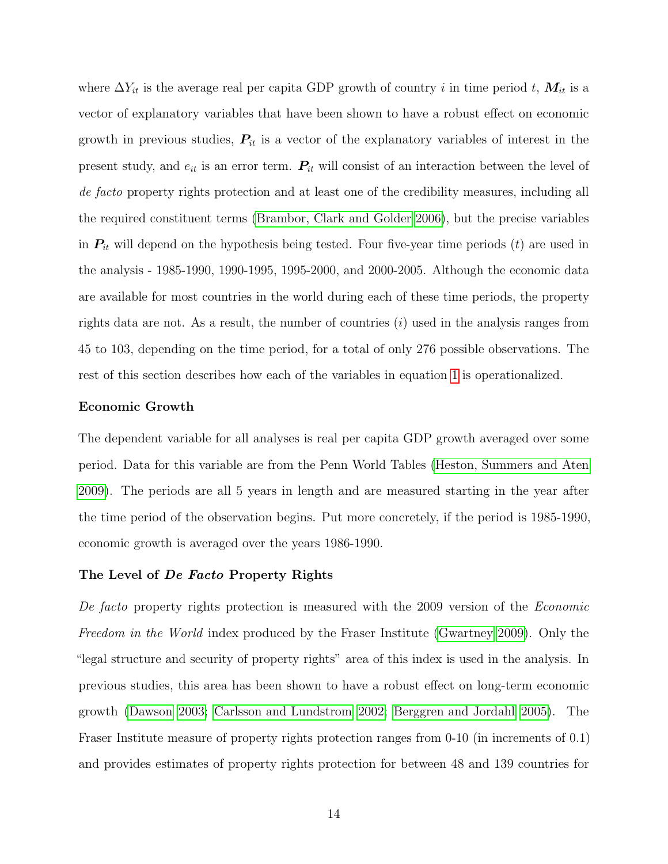where  $\Delta Y_{it}$  is the average real per capita GDP growth of country i in time period t,  $M_{it}$  is a vector of explanatory variables that have been shown to have a robust effect on economic growth in previous studies,  $P_{it}$  is a vector of the explanatory variables of interest in the present study, and  $e_{it}$  is an error term.  $P_{it}$  will consist of an interaction between the level of de facto property rights protection and at least one of the credibility measures, including all the required constituent terms [\(Brambor, Clark and Golder](#page-29-5) [2006\)](#page-29-5), but the precise variables in  $P_{it}$  will depend on the hypothesis being tested. Four five-year time periods  $(t)$  are used in the analysis - 1985-1990, 1990-1995, 1995-2000, and 2000-2005. Although the economic data are available for most countries in the world during each of these time periods, the property rights data are not. As a result, the number of countries  $(i)$  used in the analysis ranges from 45 to 103, depending on the time period, for a total of only 276 possible observations. The rest of this section describes how each of the variables in equation [1](#page-12-1) is operationalized.

#### Economic Growth

The dependent variable for all analyses is real per capita GDP growth averaged over some period. Data for this variable are from the Penn World Tables [\(Heston, Summers and Aten](#page-31-2) [2009\)](#page-31-2). The periods are all 5 years in length and are measured starting in the year after the time period of the observation begins. Put more concretely, if the period is 1985-1990, economic growth is averaged over the years 1986-1990.

## The Level of *De Facto* Property Rights

De facto property rights protection is measured with the 2009 version of the Economic Freedom in the World index produced by the Fraser Institute [\(Gwartney](#page-31-1) [2009\)](#page-31-1). Only the "legal structure and security of property rights" area of this index is used in the analysis. In previous studies, this area has been shown to have a robust effect on long-term economic growth [\(Dawson](#page-30-5) [2003;](#page-30-5) [Carlsson and Lundstrom](#page-30-6) [2002;](#page-30-6) [Berggren and Jordahl](#page-29-6) [2005\)](#page-29-6). The Fraser Institute measure of property rights protection ranges from 0-10 (in increments of 0.1) and provides estimates of property rights protection for between 48 and 139 countries for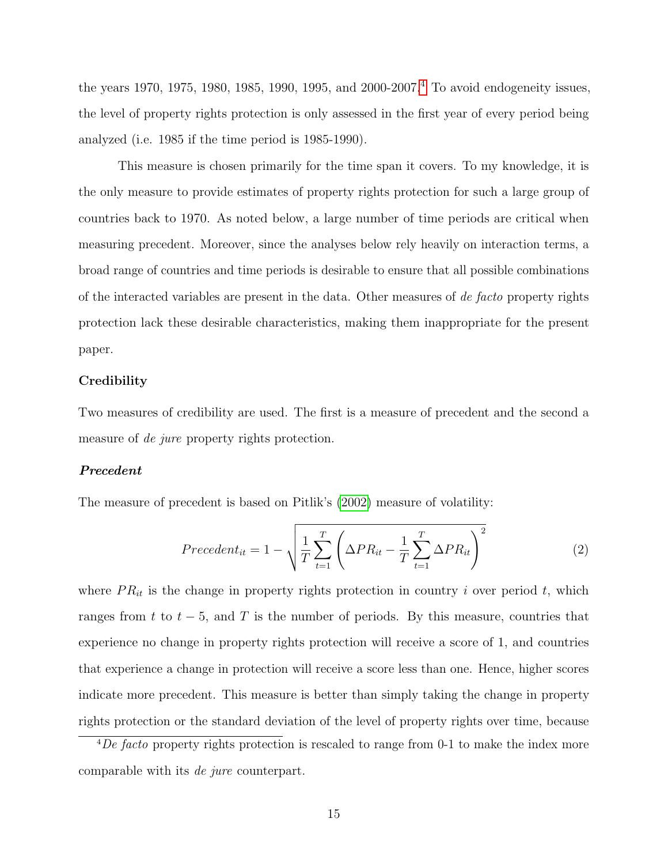the years 1970, 1975, 1980, 1985, 1990, 1995, and 2000-2007.<sup>[4](#page-14-0)</sup> To avoid endogeneity issues, the level of property rights protection is only assessed in the first year of every period being analyzed (i.e. 1985 if the time period is 1985-1990).

This measure is chosen primarily for the time span it covers. To my knowledge, it is the only measure to provide estimates of property rights protection for such a large group of countries back to 1970. As noted below, a large number of time periods are critical when measuring precedent. Moreover, since the analyses below rely heavily on interaction terms, a broad range of countries and time periods is desirable to ensure that all possible combinations of the interacted variables are present in the data. Other measures of de facto property rights protection lack these desirable characteristics, making them inappropriate for the present paper.

## **Credibility**

Two measures of credibility are used. The first is a measure of precedent and the second a measure of *de jure* property rights protection.

## Precedent

The measure of precedent is based on Pitlik's [\(2002\)](#page-33-8) measure of volatility:

$$
Precedent_{it} = 1 - \sqrt{\frac{1}{T} \sum_{t=1}^{T} \left( \Delta PR_{it} - \frac{1}{T} \sum_{t=1}^{T} \Delta PR_{it} \right)^2}
$$
(2)

where  $PR_{it}$  is the change in property rights protection in country i over period t, which ranges from t to  $t - 5$ , and T is the number of periods. By this measure, countries that experience no change in property rights protection will receive a score of 1, and countries that experience a change in protection will receive a score less than one. Hence, higher scores indicate more precedent. This measure is better than simply taking the change in property rights protection or the standard deviation of the level of property rights over time, because

<span id="page-14-0"></span> $\sqrt[4]{\text{De facto}}$  property rights protection is rescaled to range from 0-1 to make the index more comparable with its de jure counterpart.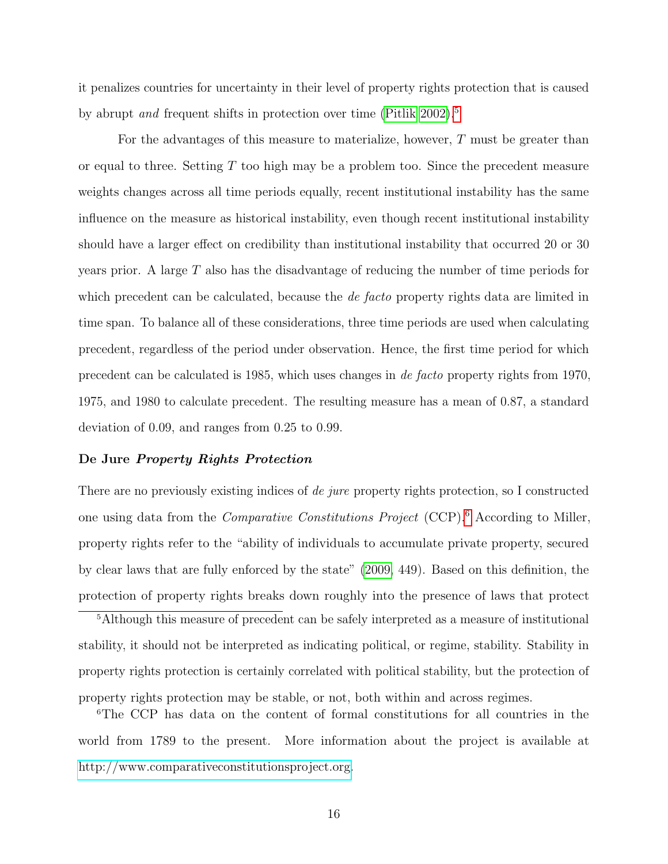it penalizes countries for uncertainty in their level of property rights protection that is caused by abrupt *and* frequent shifts in protection over time [\(Pitlik 2002\)](#page-33-8).<sup>[5](#page-15-0)</sup>

For the advantages of this measure to materialize, however, T must be greater than or equal to three. Setting  $T$  too high may be a problem too. Since the precedent measure weights changes across all time periods equally, recent institutional instability has the same influence on the measure as historical instability, even though recent institutional instability should have a larger effect on credibility than institutional instability that occurred 20 or 30 years prior. A large  $T$  also has the disadvantage of reducing the number of time periods for which precedent can be calculated, because the *de facto* property rights data are limited in time span. To balance all of these considerations, three time periods are used when calculating precedent, regardless of the period under observation. Hence, the first time period for which precedent can be calculated is 1985, which uses changes in de facto property rights from 1970, 1975, and 1980 to calculate precedent. The resulting measure has a mean of 0.87, a standard deviation of 0.09, and ranges from 0.25 to 0.99.

## De Jure Property Rights Protection

There are no previously existing indices of *de jure* property rights protection, so I constructed one using data from the Comparative Constitutions Project (CCP).[6](#page-15-1) According to Miller, property rights refer to the "ability of individuals to accumulate private property, secured by clear laws that are fully enforced by the state" [\(2009,](#page-33-9) 449). Based on this definition, the protection of property rights breaks down roughly into the presence of laws that protect

<span id="page-15-0"></span><sup>5</sup>Although this measure of precedent can be safely interpreted as a measure of institutional stability, it should not be interpreted as indicating political, or regime, stability. Stability in property rights protection is certainly correlated with political stability, but the protection of property rights protection may be stable, or not, both within and across regimes.

<span id="page-15-1"></span><sup>6</sup>The CCP has data on the content of formal constitutions for all countries in the world from 1789 to the present. More information about the project is available at [http://www.comparativeconstitutionsproject.org.](http://www.comparativeconstitutionsproject.org)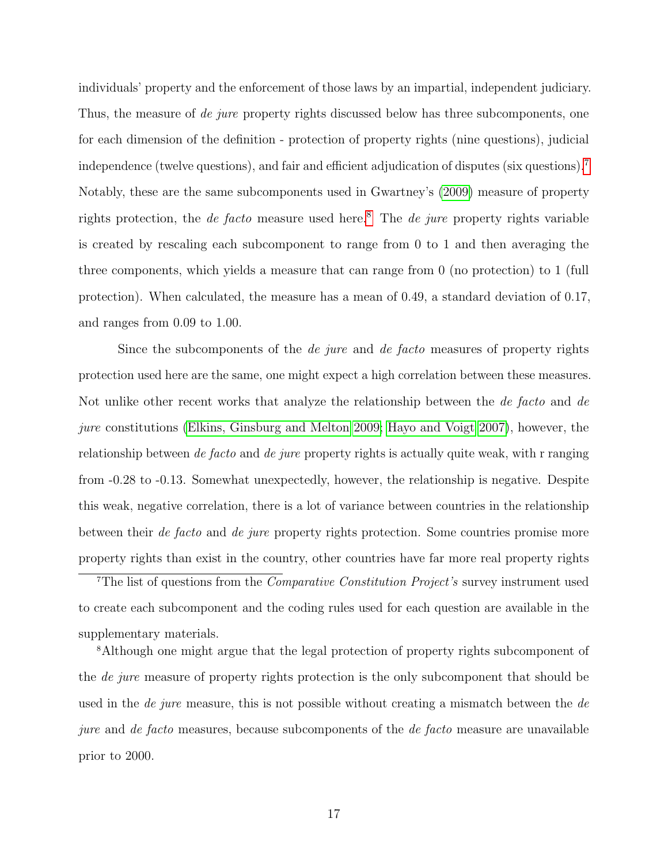individuals' property and the enforcement of those laws by an impartial, independent judiciary. Thus, the measure of de jure property rights discussed below has three subcomponents, one for each dimension of the definition - protection of property rights (nine questions), judicial independence (twelve questions), and fair and efficient adjudication of disputes (six questions). Notably, these are the same subcomponents used in Gwartney's [\(2009\)](#page-31-1) measure of property rights protection, the *de facto* measure used here.<sup>[8](#page-16-1)</sup> The *de jure* property rights variable is created by rescaling each subcomponent to range from 0 to 1 and then averaging the three components, which yields a measure that can range from 0 (no protection) to 1 (full protection). When calculated, the measure has a mean of 0.49, a standard deviation of 0.17, and ranges from 0.09 to 1.00.

Since the subcomponents of the *de jure* and *de facto* measures of property rights protection used here are the same, one might expect a high correlation between these measures. Not unlike other recent works that analyze the relationship between the de facto and de jure constitutions [\(Elkins, Ginsburg and Melton](#page-30-4) [2009;](#page-30-4) [Hayo and Voigt](#page-31-7) [2007\)](#page-31-7), however, the relationship between *de facto* and *de jure* property rights is actually quite weak, with r ranging from -0.28 to -0.13. Somewhat unexpectedly, however, the relationship is negative. Despite this weak, negative correlation, there is a lot of variance between countries in the relationship between their de facto and de jure property rights protection. Some countries promise more property rights than exist in the country, other countries have far more real property rights

<span id="page-16-0"></span><sup>7</sup>The list of questions from the *Comparative Constitution Project's* survey instrument used to create each subcomponent and the coding rules used for each question are available in the supplementary materials.

<span id="page-16-1"></span><sup>8</sup>Although one might argue that the legal protection of property rights subcomponent of the *de jure* measure of property rights protection is the only subcomponent that should be used in the *de jure* measure, this is not possible without creating a mismatch between the *de* jure and de facto measures, because subcomponents of the de facto measure are unavailable prior to 2000.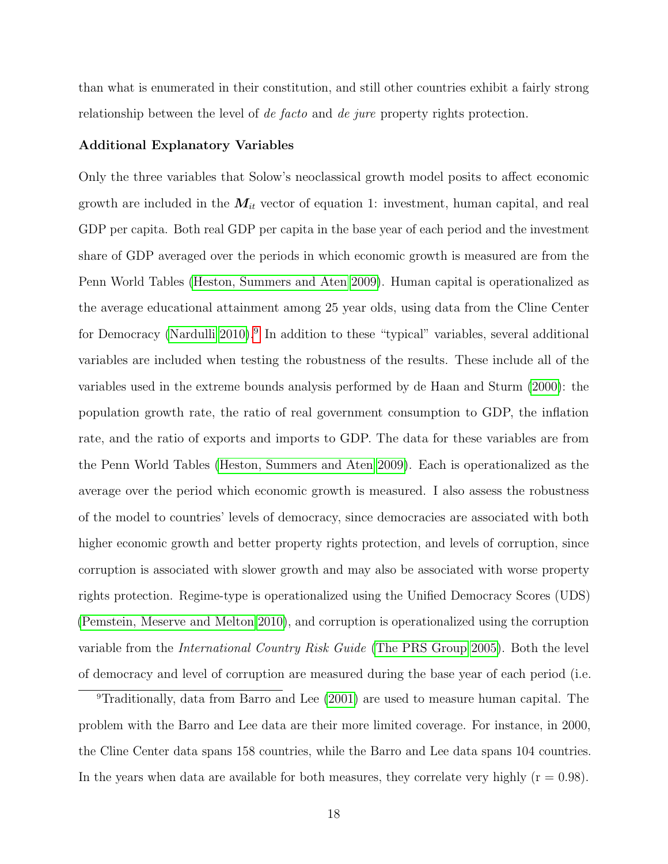than what is enumerated in their constitution, and still other countries exhibit a fairly strong relationship between the level of de facto and de jure property rights protection.

#### Additional Explanatory Variables

Only the three variables that Solow's neoclassical growth model posits to affect economic growth are included in the  $M_{it}$  vector of equation 1: investment, human capital, and real GDP per capita. Both real GDP per capita in the base year of each period and the investment share of GDP averaged over the periods in which economic growth is measured are from the Penn World Tables [\(Heston, Summers and Aten](#page-31-2) [2009\)](#page-31-2). Human capital is operationalized as the average educational attainment among 25 year olds, using data from the Cline Center for Democracy [\(Nardulli](#page-33-10) [2010\)](#page-33-10).<sup>[9](#page-17-0)</sup> In addition to these "typical" variables, several additional variables are included when testing the robustness of the results. These include all of the variables used in the extreme bounds analysis performed by de Haan and Sturm [\(2000\)](#page-31-8): the population growth rate, the ratio of real government consumption to GDP, the inflation rate, and the ratio of exports and imports to GDP. The data for these variables are from the Penn World Tables [\(Heston, Summers and Aten](#page-31-2) [2009\)](#page-31-2). Each is operationalized as the average over the period which economic growth is measured. I also assess the robustness of the model to countries' levels of democracy, since democracies are associated with both higher economic growth and better property rights protection, and levels of corruption, since corruption is associated with slower growth and may also be associated with worse property rights protection. Regime-type is operationalized using the Unified Democracy Scores (UDS) [\(Pemstein, Meserve and Melton](#page-33-11) [2010\)](#page-33-11), and corruption is operationalized using the corruption variable from the International Country Risk Guide [\(The PRS Group](#page-34-5) [2005\)](#page-34-5). Both the level of democracy and level of corruption are measured during the base year of each period (i.e.

<span id="page-17-0"></span><sup>9</sup>Traditionally, data from Barro and Lee [\(2001\)](#page-29-7) are used to measure human capital. The problem with the Barro and Lee data are their more limited coverage. For instance, in 2000, the Cline Center data spans 158 countries, while the Barro and Lee data spans 104 countries. In the years when data are available for both measures, they correlate very highly  $(r = 0.98)$ .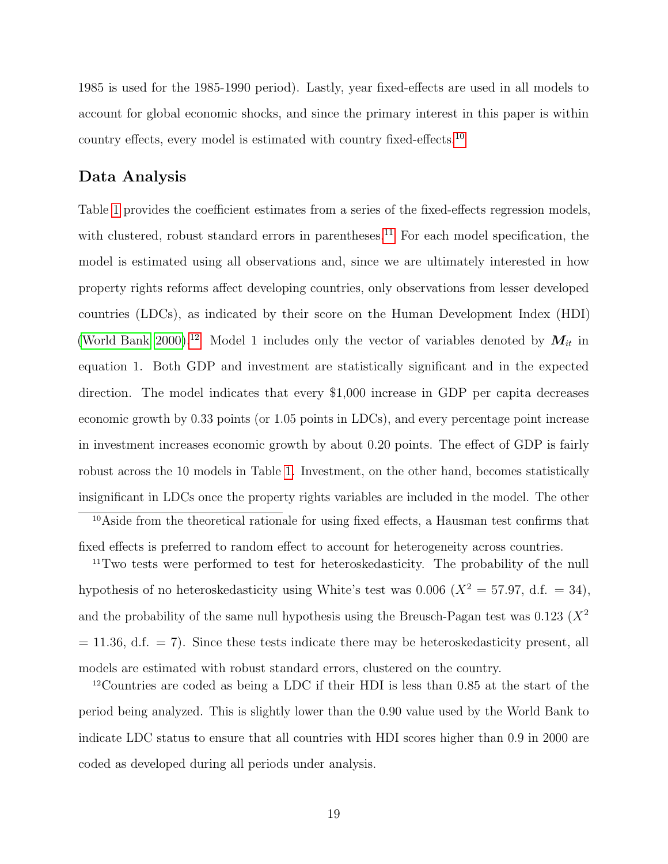1985 is used for the 1985-1990 period). Lastly, year fixed-effects are used in all models to account for global economic shocks, and since the primary interest in this paper is within country effects, every model is estimated with country fixed-effects.[10](#page-18-0)

# Data Analysis

Table [1](#page-35-0) provides the coefficient estimates from a series of the fixed-effects regression models, with clustered, robust standard errors in parentheses.<sup>[11](#page-18-1)</sup> For each model specification, the model is estimated using all observations and, since we are ultimately interested in how property rights reforms affect developing countries, only observations from lesser developed countries (LDCs), as indicated by their score on the Human Development Index (HDI) [\(World Bank](#page-34-6) [2000\)](#page-34-6).<sup>[12](#page-18-2)</sup> Model 1 includes only the vector of variables denoted by  $M_{it}$  in equation 1. Both GDP and investment are statistically significant and in the expected direction. The model indicates that every \$1,000 increase in GDP per capita decreases economic growth by 0.33 points (or 1.05 points in LDCs), and every percentage point increase in investment increases economic growth by about 0.20 points. The effect of GDP is fairly robust across the 10 models in Table [1.](#page-35-0) Investment, on the other hand, becomes statistically insignificant in LDCs once the property rights variables are included in the model. The other

<span id="page-18-0"></span><sup>10</sup>Aside from the theoretical rationale for using fixed effects, a Hausman test confirms that fixed effects is preferred to random effect to account for heterogeneity across countries.

<span id="page-18-1"></span><sup>&</sup>lt;sup>11</sup>Two tests were performed to test for heteroskedasticity. The probability of the null hypothesis of no heteroskedasticity using White's test was 0.006 ( $X^2 = 57.97$ , d.f. = 34), and the probability of the same null hypothesis using the Breusch-Pagan test was  $0.123$  ( $X^2$ )  $= 11.36, d.f. = 7$ . Since these tests indicate there may be heteroskedasticity present, all models are estimated with robust standard errors, clustered on the country.

<span id="page-18-2"></span><sup>12</sup>Countries are coded as being a LDC if their HDI is less than 0.85 at the start of the period being analyzed. This is slightly lower than the 0.90 value used by the World Bank to indicate LDC status to ensure that all countries with HDI scores higher than 0.9 in 2000 are coded as developed during all periods under analysis.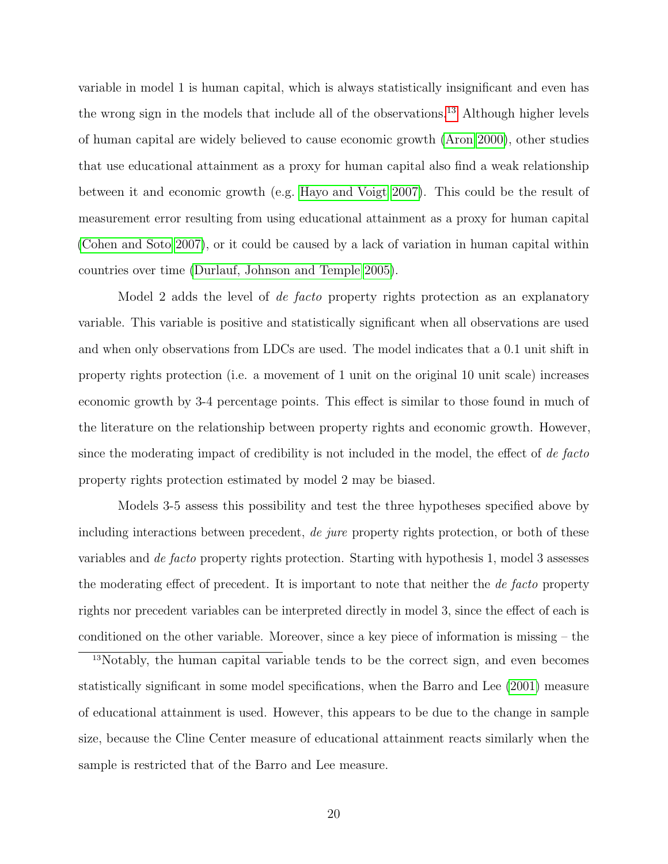variable in model 1 is human capital, which is always statistically insignificant and even has the wrong sign in the models that include all of the observations.[13](#page-19-0) Although higher levels of human capital are widely believed to cause economic growth [\(Aron](#page-29-2) [2000\)](#page-29-2), other studies that use educational attainment as a proxy for human capital also find a weak relationship between it and economic growth (e.g. [Hayo and Voigt](#page-31-7) [2007\)](#page-31-7). This could be the result of measurement error resulting from using educational attainment as a proxy for human capital [\(Cohen and Soto](#page-30-7) [2007\)](#page-30-7), or it could be caused by a lack of variation in human capital within countries over time [\(Durlauf, Johnson and Temple 2005\)](#page-30-8).

Model 2 adds the level of *de facto* property rights protection as an explanatory variable. This variable is positive and statistically significant when all observations are used and when only observations from LDCs are used. The model indicates that a 0.1 unit shift in property rights protection (i.e. a movement of 1 unit on the original 10 unit scale) increases economic growth by 3-4 percentage points. This effect is similar to those found in much of the literature on the relationship between property rights and economic growth. However, since the moderating impact of credibility is not included in the model, the effect of de facto property rights protection estimated by model 2 may be biased.

Models 3-5 assess this possibility and test the three hypotheses specified above by including interactions between precedent, *de jure* property rights protection, or both of these variables and de facto property rights protection. Starting with hypothesis 1, model 3 assesses the moderating effect of precedent. It is important to note that neither the *de facto* property rights nor precedent variables can be interpreted directly in model 3, since the effect of each is conditioned on the other variable. Moreover, since a key piece of information is missing – the

<span id="page-19-0"></span><sup>13</sup>Notably, the human capital variable tends to be the correct sign, and even becomes statistically significant in some model specifications, when the Barro and Lee [\(2001\)](#page-29-7) measure of educational attainment is used. However, this appears to be due to the change in sample size, because the Cline Center measure of educational attainment reacts similarly when the sample is restricted that of the Barro and Lee measure.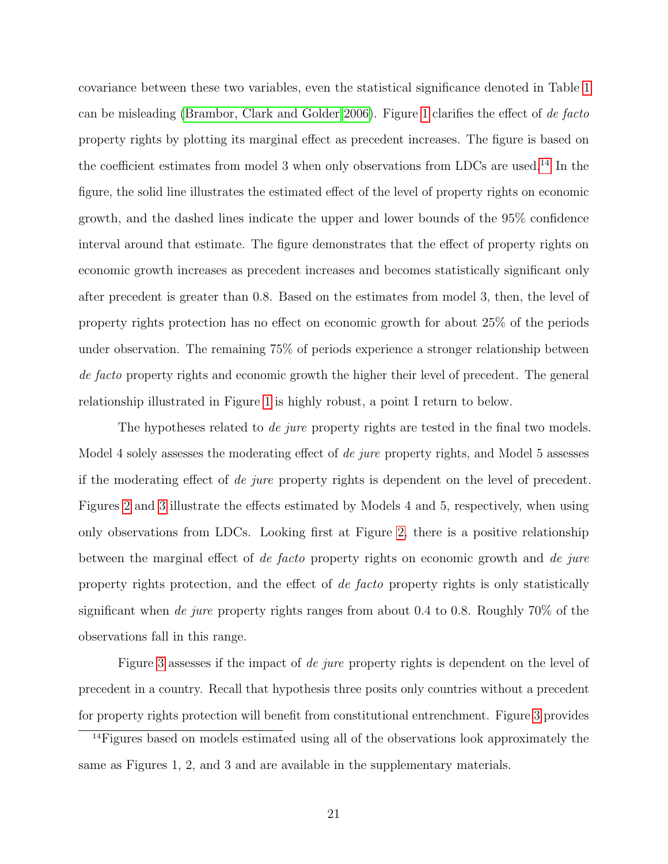covariance between these two variables, even the statistical significance denoted in Table [1](#page-35-0) can be misleading [\(Brambor, Clark and Golder](#page-29-5) [2006\)](#page-29-5). Figure [1](#page-36-0) clarifies the effect of de facto property rights by plotting its marginal effect as precedent increases. The figure is based on the coefficient estimates from model 3 when only observations from LDCs are used.<sup>[14](#page-20-0)</sup> In the figure, the solid line illustrates the estimated effect of the level of property rights on economic growth, and the dashed lines indicate the upper and lower bounds of the 95% confidence interval around that estimate. The figure demonstrates that the effect of property rights on economic growth increases as precedent increases and becomes statistically significant only after precedent is greater than 0.8. Based on the estimates from model 3, then, the level of property rights protection has no effect on economic growth for about 25% of the periods under observation. The remaining 75% of periods experience a stronger relationship between de facto property rights and economic growth the higher their level of precedent. The general relationship illustrated in Figure [1](#page-36-0) is highly robust, a point I return to below.

The hypotheses related to *de jure* property rights are tested in the final two models. Model 4 solely assesses the moderating effect of *de jure* property rights, and Model 5 assesses if the moderating effect of de jure property rights is dependent on the level of precedent. Figures [2](#page-37-0) and [3](#page-38-0) illustrate the effects estimated by Models 4 and 5, respectively, when using only observations from LDCs. Looking first at Figure [2,](#page-37-0) there is a positive relationship between the marginal effect of de facto property rights on economic growth and de jure property rights protection, and the effect of de facto property rights is only statistically significant when de jure property rights ranges from about 0.4 to 0.8. Roughly  $70\%$  of the observations fall in this range.

Figure [3](#page-38-0) assesses if the impact of *de jure* property rights is dependent on the level of precedent in a country. Recall that hypothesis three posits only countries without a precedent for property rights protection will benefit from constitutional entrenchment. Figure [3](#page-38-0) provides

<span id="page-20-0"></span><sup>&</sup>lt;sup>14</sup>Figures based on models estimated using all of the observations look approximately the same as Figures 1, 2, and 3 and are available in the supplementary materials.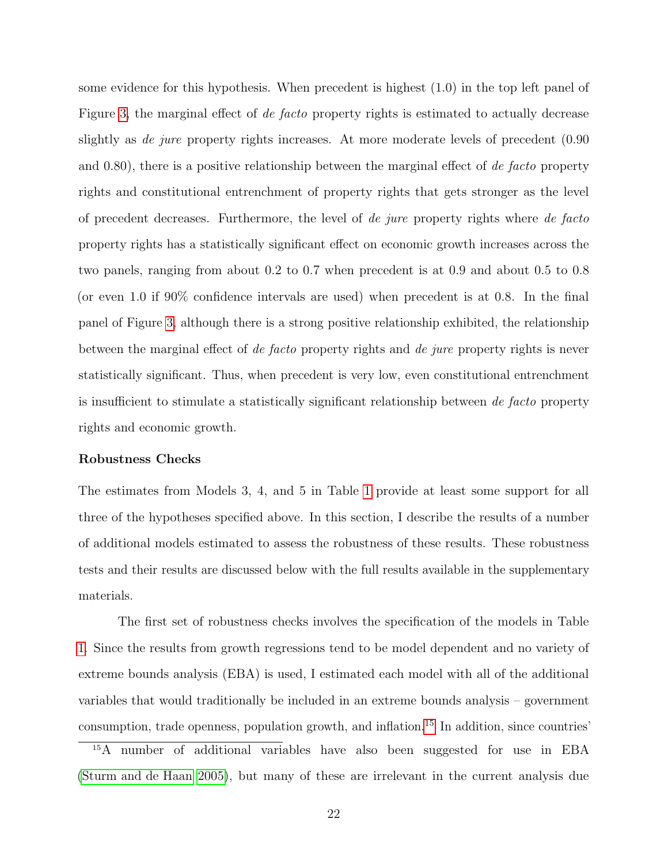some evidence for this hypothesis. When precedent is highest (1.0) in the top left panel of Figure [3,](#page-38-0) the marginal effect of de facto property rights is estimated to actually decrease slightly as *de jure* property rights increases. At more moderate levels of precedent (0.90) and  $(0.80)$ , there is a positive relationship between the marginal effect of *de facto* property rights and constitutional entrenchment of property rights that gets stronger as the level of precedent decreases. Furthermore, the level of de jure property rights where de facto property rights has a statistically significant effect on economic growth increases across the two panels, ranging from about 0.2 to 0.7 when precedent is at 0.9 and about 0.5 to 0.8 (or even 1.0 if 90% confidence intervals are used) when precedent is at 0.8. In the final panel of Figure [3,](#page-38-0) although there is a strong positive relationship exhibited, the relationship between the marginal effect of de facto property rights and de jure property rights is never statistically significant. Thus, when precedent is very low, even constitutional entrenchment is insufficient to stimulate a statistically significant relationship between de facto property rights and economic growth.

### Robustness Checks

The estimates from Models 3, 4, and 5 in Table [1](#page-35-0) provide at least some support for all three of the hypotheses specified above. In this section, I describe the results of a number of additional models estimated to assess the robustness of these results. These robustness tests and their results are discussed below with the full results available in the supplementary materials.

The first set of robustness checks involves the specification of the models in Table [1.](#page-35-0) Since the results from growth regressions tend to be model dependent and no variety of extreme bounds analysis (EBA) is used, I estimated each model with all of the additional variables that would traditionally be included in an extreme bounds analysis – government consumption, trade openness, population growth, and inflation.[15](#page-21-0) In addition, since countries'

<span id="page-21-0"></span><sup>15</sup>A number of additional variables have also been suggested for use in EBA [\(Sturm and de Haan](#page-34-7) [2005\)](#page-34-7), but many of these are irrelevant in the current analysis due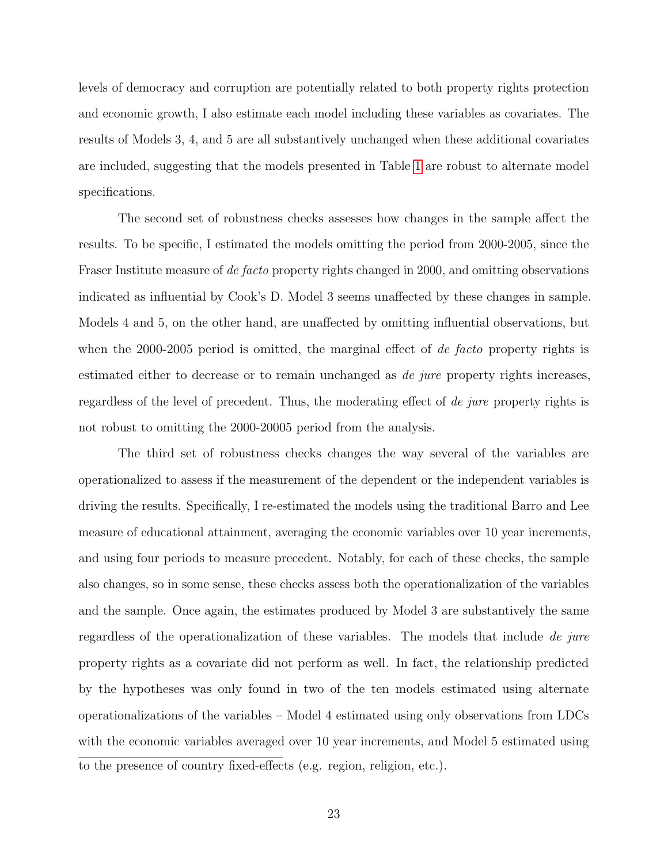levels of democracy and corruption are potentially related to both property rights protection and economic growth, I also estimate each model including these variables as covariates. The results of Models 3, 4, and 5 are all substantively unchanged when these additional covariates are included, suggesting that the models presented in Table [1](#page-35-0) are robust to alternate model specifications.

The second set of robustness checks assesses how changes in the sample affect the results. To be specific, I estimated the models omitting the period from 2000-2005, since the Fraser Institute measure of de facto property rights changed in 2000, and omitting observations indicated as influential by Cook's D. Model 3 seems unaffected by these changes in sample. Models 4 and 5, on the other hand, are unaffected by omitting influential observations, but when the 2000-2005 period is omitted, the marginal effect of *de facto* property rights is estimated either to decrease or to remain unchanged as *de jure* property rights increases, regardless of the level of precedent. Thus, the moderating effect of de jure property rights is not robust to omitting the 2000-20005 period from the analysis.

The third set of robustness checks changes the way several of the variables are operationalized to assess if the measurement of the dependent or the independent variables is driving the results. Specifically, I re-estimated the models using the traditional Barro and Lee measure of educational attainment, averaging the economic variables over 10 year increments, and using four periods to measure precedent. Notably, for each of these checks, the sample also changes, so in some sense, these checks assess both the operationalization of the variables and the sample. Once again, the estimates produced by Model 3 are substantively the same regardless of the operationalization of these variables. The models that include de jure property rights as a covariate did not perform as well. In fact, the relationship predicted by the hypotheses was only found in two of the ten models estimated using alternate operationalizations of the variables – Model 4 estimated using only observations from LDCs with the economic variables averaged over 10 year increments, and Model 5 estimated using to the presence of country fixed-effects (e.g. region, religion, etc.).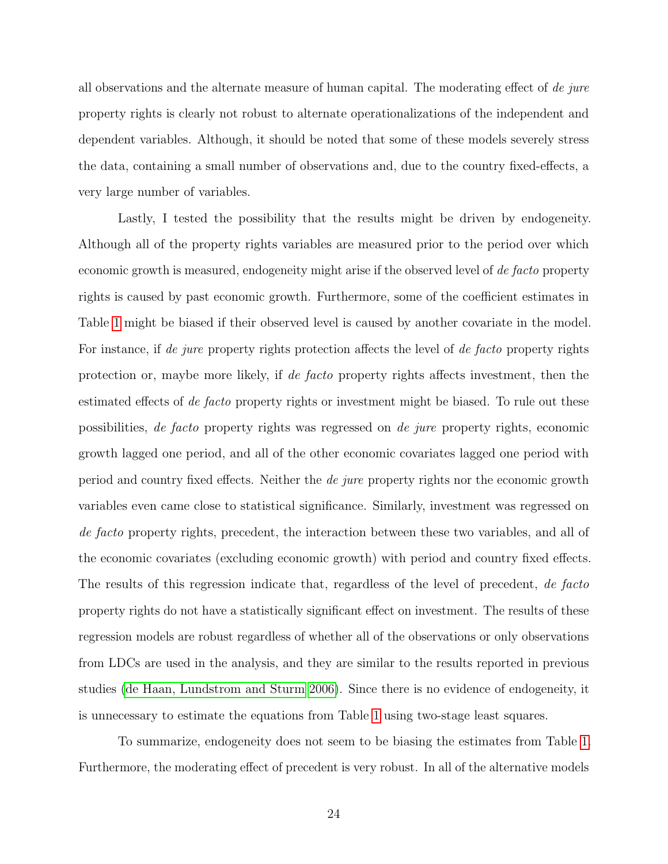all observations and the alternate measure of human capital. The moderating effect of de jure property rights is clearly not robust to alternate operationalizations of the independent and dependent variables. Although, it should be noted that some of these models severely stress the data, containing a small number of observations and, due to the country fixed-effects, a very large number of variables.

Lastly, I tested the possibility that the results might be driven by endogeneity. Although all of the property rights variables are measured prior to the period over which economic growth is measured, endogeneity might arise if the observed level of de facto property rights is caused by past economic growth. Furthermore, some of the coefficient estimates in Table [1](#page-35-0) might be biased if their observed level is caused by another covariate in the model. For instance, if de jure property rights protection affects the level of de facto property rights protection or, maybe more likely, if de facto property rights affects investment, then the estimated effects of *de facto* property rights or investment might be biased. To rule out these possibilities, de facto property rights was regressed on de jure property rights, economic growth lagged one period, and all of the other economic covariates lagged one period with period and country fixed effects. Neither the de jure property rights nor the economic growth variables even came close to statistical significance. Similarly, investment was regressed on de facto property rights, precedent, the interaction between these two variables, and all of the economic covariates (excluding economic growth) with period and country fixed effects. The results of this regression indicate that, regardless of the level of precedent, de facto property rights do not have a statistically significant effect on investment. The results of these regression models are robust regardless of whether all of the observations or only observations from LDCs are used in the analysis, and they are similar to the results reported in previous studies [\(de Haan, Lundstrom and Sturm](#page-30-0) [2006\)](#page-30-0). Since there is no evidence of endogeneity, it is unnecessary to estimate the equations from Table [1](#page-35-0) using two-stage least squares.

To summarize, endogeneity does not seem to be biasing the estimates from Table [1.](#page-35-0) Furthermore, the moderating effect of precedent is very robust. In all of the alternative models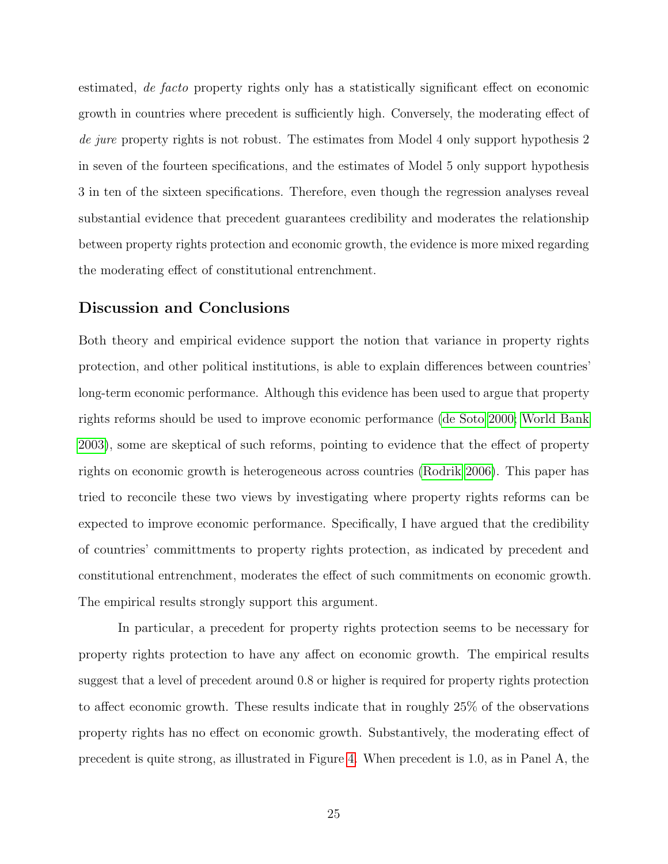estimated, de facto property rights only has a statistically significant effect on economic growth in countries where precedent is sufficiently high. Conversely, the moderating effect of de jure property rights is not robust. The estimates from Model 4 only support hypothesis 2 in seven of the fourteen specifications, and the estimates of Model 5 only support hypothesis 3 in ten of the sixteen specifications. Therefore, even though the regression analyses reveal substantial evidence that precedent guarantees credibility and moderates the relationship between property rights protection and economic growth, the evidence is more mixed regarding the moderating effect of constitutional entrenchment.

## Discussion and Conclusions

Both theory and empirical evidence support the notion that variance in property rights protection, and other political institutions, is able to explain differences between countries' long-term economic performance. Although this evidence has been used to argue that property rights reforms should be used to improve economic performance [\(de Soto](#page-30-1) [2000;](#page-30-1) [World Bank](#page-34-0) [2003\)](#page-34-0), some are skeptical of such reforms, pointing to evidence that the effect of property rights on economic growth is heterogeneous across countries [\(Rodrik](#page-33-0) [2006\)](#page-33-0). This paper has tried to reconcile these two views by investigating where property rights reforms can be expected to improve economic performance. Specifically, I have argued that the credibility of countries' committments to property rights protection, as indicated by precedent and constitutional entrenchment, moderates the effect of such commitments on economic growth. The empirical results strongly support this argument.

In particular, a precedent for property rights protection seems to be necessary for property rights protection to have any affect on economic growth. The empirical results suggest that a level of precedent around 0.8 or higher is required for property rights protection to affect economic growth. These results indicate that in roughly 25% of the observations property rights has no effect on economic growth. Substantively, the moderating effect of precedent is quite strong, as illustrated in Figure [4.](#page-39-0) When precedent is 1.0, as in Panel A, the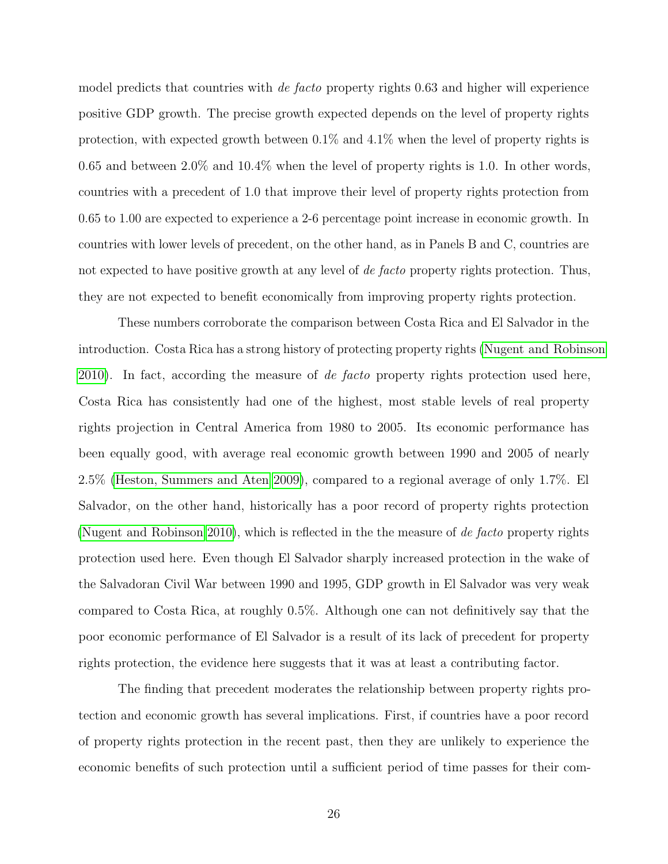model predicts that countries with *de facto* property rights 0.63 and higher will experience positive GDP growth. The precise growth expected depends on the level of property rights protection, with expected growth between 0.1% and 4.1% when the level of property rights is 0.65 and between 2.0% and 10.4% when the level of property rights is 1.0. In other words, countries with a precedent of 1.0 that improve their level of property rights protection from 0.65 to 1.00 are expected to experience a 2-6 percentage point increase in economic growth. In countries with lower levels of precedent, on the other hand, as in Panels B and C, countries are not expected to have positive growth at any level of *de facto* property rights protection. Thus, they are not expected to benefit economically from improving property rights protection.

These numbers corroborate the comparison between Costa Rica and El Salvador in the introduction. Costa Rica has a strong history of protecting property rights [\(Nugent and Robinson](#page-33-5) [2010\)](#page-33-5). In fact, according the measure of *de facto* property rights protection used here, Costa Rica has consistently had one of the highest, most stable levels of real property rights projection in Central America from 1980 to 2005. Its economic performance has been equally good, with average real economic growth between 1990 and 2005 of nearly 2.5% [\(Heston, Summers and Aten](#page-31-2) [2009\)](#page-31-2), compared to a regional average of only 1.7%. El Salvador, on the other hand, historically has a poor record of property rights protection [\(Nugent and Robinson](#page-33-5) [2010\)](#page-33-5), which is reflected in the the measure of de facto property rights protection used here. Even though El Salvador sharply increased protection in the wake of the Salvadoran Civil War between 1990 and 1995, GDP growth in El Salvador was very weak compared to Costa Rica, at roughly 0.5%. Although one can not definitively say that the poor economic performance of El Salvador is a result of its lack of precedent for property rights protection, the evidence here suggests that it was at least a contributing factor.

The finding that precedent moderates the relationship between property rights protection and economic growth has several implications. First, if countries have a poor record of property rights protection in the recent past, then they are unlikely to experience the economic benefits of such protection until a sufficient period of time passes for their com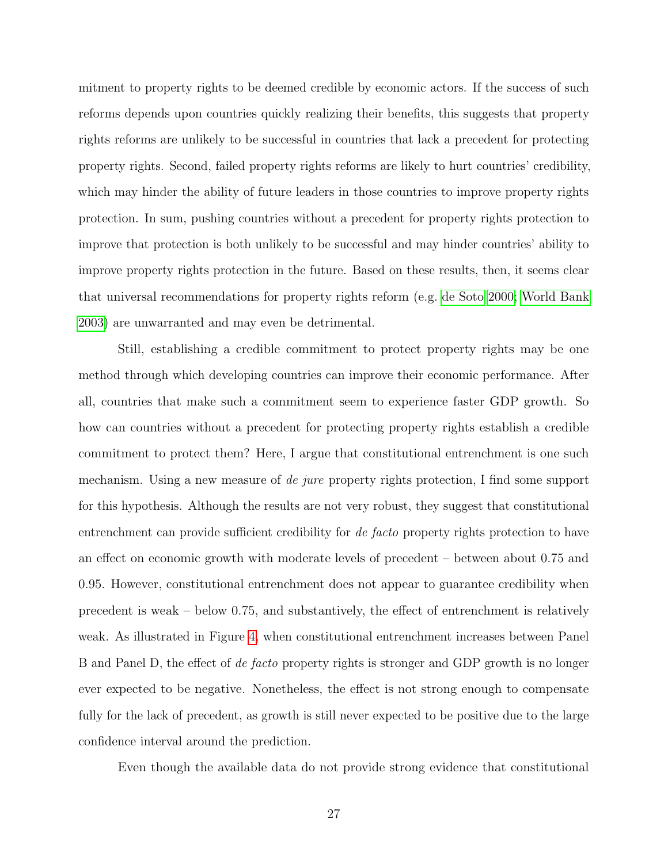mitment to property rights to be deemed credible by economic actors. If the success of such reforms depends upon countries quickly realizing their benefits, this suggests that property rights reforms are unlikely to be successful in countries that lack a precedent for protecting property rights. Second, failed property rights reforms are likely to hurt countries' credibility, which may hinder the ability of future leaders in those countries to improve property rights protection. In sum, pushing countries without a precedent for property rights protection to improve that protection is both unlikely to be successful and may hinder countries' ability to improve property rights protection in the future. Based on these results, then, it seems clear that universal recommendations for property rights reform (e.g. [de Soto](#page-30-1) [2000;](#page-30-1) [World Bank](#page-34-0) [2003\)](#page-34-0) are unwarranted and may even be detrimental.

Still, establishing a credible commitment to protect property rights may be one method through which developing countries can improve their economic performance. After all, countries that make such a commitment seem to experience faster GDP growth. So how can countries without a precedent for protecting property rights establish a credible commitment to protect them? Here, I argue that constitutional entrenchment is one such mechanism. Using a new measure of de jure property rights protection, I find some support for this hypothesis. Although the results are not very robust, they suggest that constitutional entrenchment can provide sufficient credibility for *de facto* property rights protection to have an effect on economic growth with moderate levels of precedent – between about 0.75 and 0.95. However, constitutional entrenchment does not appear to guarantee credibility when precedent is weak – below 0.75, and substantively, the effect of entrenchment is relatively weak. As illustrated in Figure [4,](#page-39-0) when constitutional entrenchment increases between Panel B and Panel D, the effect of de facto property rights is stronger and GDP growth is no longer ever expected to be negative. Nonetheless, the effect is not strong enough to compensate fully for the lack of precedent, as growth is still never expected to be positive due to the large confidence interval around the prediction.

Even though the available data do not provide strong evidence that constitutional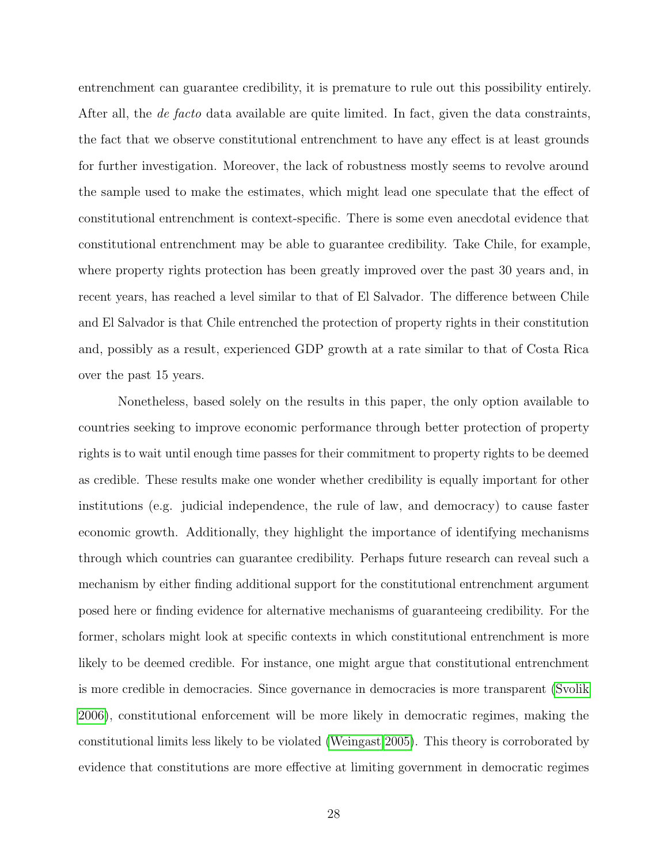entrenchment can guarantee credibility, it is premature to rule out this possibility entirely. After all, the *de facto* data available are quite limited. In fact, given the data constraints, the fact that we observe constitutional entrenchment to have any effect is at least grounds for further investigation. Moreover, the lack of robustness mostly seems to revolve around the sample used to make the estimates, which might lead one speculate that the effect of constitutional entrenchment is context-specific. There is some even anecdotal evidence that constitutional entrenchment may be able to guarantee credibility. Take Chile, for example, where property rights protection has been greatly improved over the past 30 years and, in recent years, has reached a level similar to that of El Salvador. The difference between Chile and El Salvador is that Chile entrenched the protection of property rights in their constitution and, possibly as a result, experienced GDP growth at a rate similar to that of Costa Rica over the past 15 years.

Nonetheless, based solely on the results in this paper, the only option available to countries seeking to improve economic performance through better protection of property rights is to wait until enough time passes for their commitment to property rights to be deemed as credible. These results make one wonder whether credibility is equally important for other institutions (e.g. judicial independence, the rule of law, and democracy) to cause faster economic growth. Additionally, they highlight the importance of identifying mechanisms through which countries can guarantee credibility. Perhaps future research can reveal such a mechanism by either finding additional support for the constitutional entrenchment argument posed here or finding evidence for alternative mechanisms of guaranteeing credibility. For the former, scholars might look at specific contexts in which constitutional entrenchment is more likely to be deemed credible. For instance, one might argue that constitutional entrenchment is more credible in democracies. Since governance in democracies is more transparent [\(Svolik](#page-34-8) [2006\)](#page-34-8), constitutional enforcement will be more likely in democratic regimes, making the constitutional limits less likely to be violated [\(Weingast](#page-34-4) [2005\)](#page-34-4). This theory is corroborated by evidence that constitutions are more effective at limiting government in democratic regimes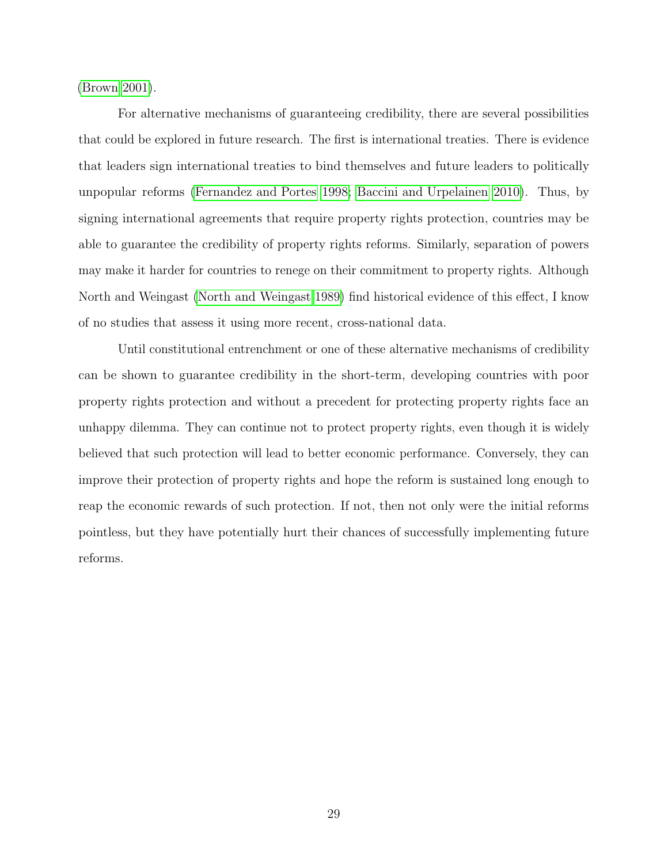[\(Brown 2001\)](#page-29-8).

For alternative mechanisms of guaranteeing credibility, there are several possibilities that could be explored in future research. The first is international treaties. There is evidence that leaders sign international treaties to bind themselves and future leaders to politically unpopular reforms [\(Fernandez and Portes](#page-31-9) [1998;](#page-31-9) [Baccini and Urpelainen](#page-29-9) [2010\)](#page-29-9). Thus, by signing international agreements that require property rights protection, countries may be able to guarantee the credibility of property rights reforms. Similarly, separation of powers may make it harder for countries to renege on their commitment to property rights. Although North and Weingast [\(North and Weingast](#page-33-4) [1989\)](#page-33-4) find historical evidence of this effect, I know of no studies that assess it using more recent, cross-national data.

Until constitutional entrenchment or one of these alternative mechanisms of credibility can be shown to guarantee credibility in the short-term, developing countries with poor property rights protection and without a precedent for protecting property rights face an unhappy dilemma. They can continue not to protect property rights, even though it is widely believed that such protection will lead to better economic performance. Conversely, they can improve their protection of property rights and hope the reform is sustained long enough to reap the economic rewards of such protection. If not, then not only were the initial reforms pointless, but they have potentially hurt their chances of successfully implementing future reforms.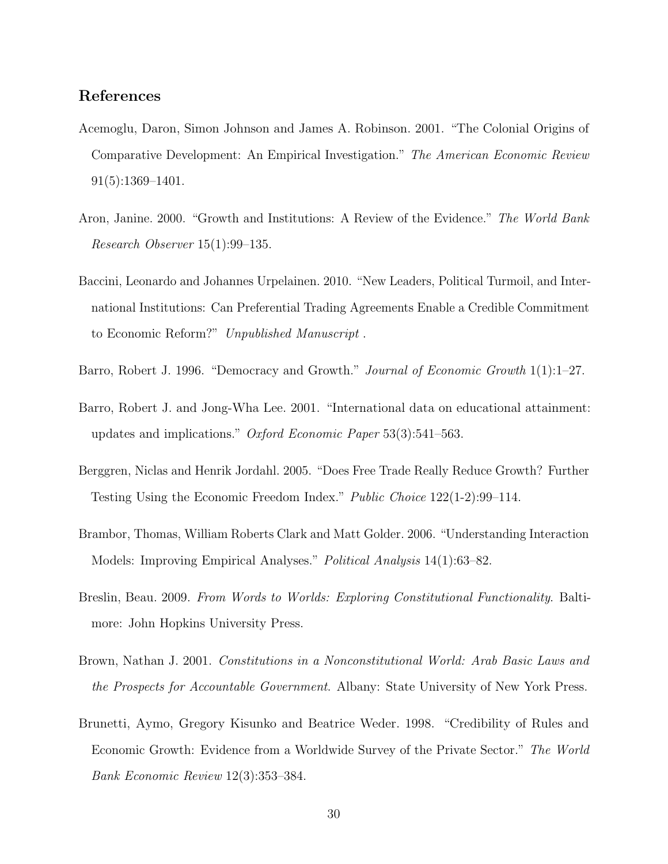## <span id="page-29-1"></span>References

- Acemoglu, Daron, Simon Johnson and James A. Robinson. 2001. "The Colonial Origins of Comparative Development: An Empirical Investigation." The American Economic Review 91(5):1369–1401.
- <span id="page-29-2"></span>Aron, Janine. 2000. "Growth and Institutions: A Review of the Evidence." The World Bank Research Observer 15(1):99–135.
- <span id="page-29-9"></span>Baccini, Leonardo and Johannes Urpelainen. 2010. "New Leaders, Political Turmoil, and International Institutions: Can Preferential Trading Agreements Enable a Credible Commitment to Economic Reform?" Unpublished Manuscript .
- <span id="page-29-0"></span>Barro, Robert J. 1996. "Democracy and Growth." Journal of Economic Growth 1(1):1–27.
- <span id="page-29-7"></span>Barro, Robert J. and Jong-Wha Lee. 2001. "International data on educational attainment: updates and implications." Oxford Economic Paper 53(3):541–563.
- <span id="page-29-6"></span>Berggren, Niclas and Henrik Jordahl. 2005. "Does Free Trade Really Reduce Growth? Further Testing Using the Economic Freedom Index." Public Choice 122(1-2):99–114.
- <span id="page-29-5"></span>Brambor, Thomas, William Roberts Clark and Matt Golder. 2006. "Understanding Interaction Models: Improving Empirical Analyses." Political Analysis 14(1):63–82.
- <span id="page-29-4"></span>Breslin, Beau. 2009. From Words to Worlds: Exploring Constitutional Functionality. Baltimore: John Hopkins University Press.
- <span id="page-29-8"></span>Brown, Nathan J. 2001. Constitutions in a Nonconstitutional World: Arab Basic Laws and the Prospects for Accountable Government. Albany: State University of New York Press.
- <span id="page-29-3"></span>Brunetti, Aymo, Gregory Kisunko and Beatrice Weder. 1998. "Credibility of Rules and Economic Growth: Evidence from a Worldwide Survey of the Private Sector." The World Bank Economic Review 12(3):353–384.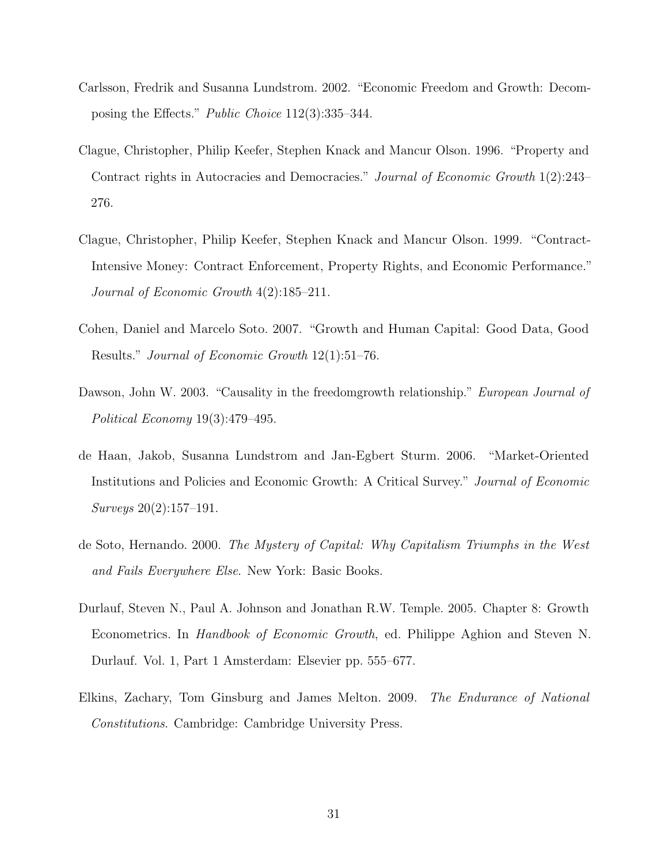- <span id="page-30-6"></span>Carlsson, Fredrik and Susanna Lundstrom. 2002. "Economic Freedom and Growth: Decomposing the Effects." Public Choice 112(3):335–344.
- <span id="page-30-2"></span>Clague, Christopher, Philip Keefer, Stephen Knack and Mancur Olson. 1996. "Property and Contract rights in Autocracies and Democracies." Journal of Economic Growth 1(2):243– 276.
- <span id="page-30-3"></span>Clague, Christopher, Philip Keefer, Stephen Knack and Mancur Olson. 1999. "Contract-Intensive Money: Contract Enforcement, Property Rights, and Economic Performance." Journal of Economic Growth 4(2):185–211.
- <span id="page-30-7"></span>Cohen, Daniel and Marcelo Soto. 2007. "Growth and Human Capital: Good Data, Good Results." Journal of Economic Growth 12(1):51–76.
- <span id="page-30-5"></span>Dawson, John W. 2003. "Causality in the freedomgrowth relationship." European Journal of Political Economy 19(3):479–495.
- <span id="page-30-0"></span>de Haan, Jakob, Susanna Lundstrom and Jan-Egbert Sturm. 2006. "Market-Oriented Institutions and Policies and Economic Growth: A Critical Survey." Journal of Economic Surveys 20(2):157–191.
- <span id="page-30-1"></span>de Soto, Hernando. 2000. The Mystery of Capital: Why Capitalism Triumphs in the West and Fails Everywhere Else. New York: Basic Books.
- <span id="page-30-8"></span>Durlauf, Steven N., Paul A. Johnson and Jonathan R.W. Temple. 2005. Chapter 8: Growth Econometrics. In Handbook of Economic Growth, ed. Philippe Aghion and Steven N. Durlauf. Vol. 1, Part 1 Amsterdam: Elsevier pp. 555–677.
- <span id="page-30-4"></span>Elkins, Zachary, Tom Ginsburg and James Melton. 2009. The Endurance of National Constitutions. Cambridge: Cambridge University Press.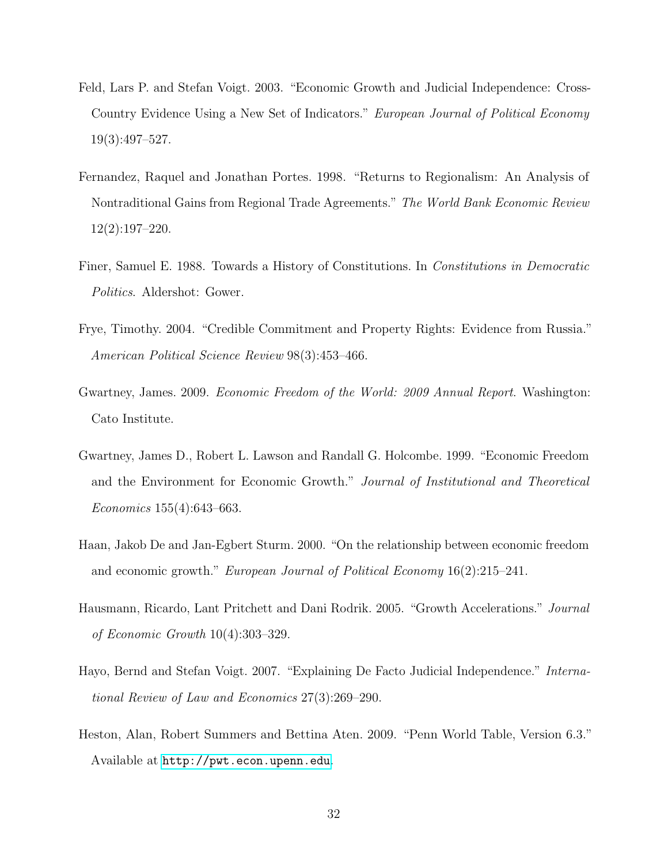- <span id="page-31-0"></span>Feld, Lars P. and Stefan Voigt. 2003. "Economic Growth and Judicial Independence: Cross-Country Evidence Using a New Set of Indicators." European Journal of Political Economy 19(3):497–527.
- <span id="page-31-9"></span>Fernandez, Raquel and Jonathan Portes. 1998. "Returns to Regionalism: An Analysis of Nontraditional Gains from Regional Trade Agreements." The World Bank Economic Review 12(2):197–220.
- <span id="page-31-6"></span>Finer, Samuel E. 1988. Towards a History of Constitutions. In Constitutions in Democratic Politics. Aldershot: Gower.
- <span id="page-31-4"></span>Frye, Timothy. 2004. "Credible Commitment and Property Rights: Evidence from Russia." American Political Science Review 98(3):453–466.
- <span id="page-31-1"></span>Gwartney, James. 2009. Economic Freedom of the World: 2009 Annual Report. Washington: Cato Institute.
- <span id="page-31-5"></span>Gwartney, James D., Robert L. Lawson and Randall G. Holcombe. 1999. "Economic Freedom and the Environment for Economic Growth." Journal of Institutional and Theoretical Economics 155(4):643–663.
- <span id="page-31-8"></span>Haan, Jakob De and Jan-Egbert Sturm. 2000. "On the relationship between economic freedom and economic growth." European Journal of Political Economy 16(2):215–241.
- <span id="page-31-3"></span>Hausmann, Ricardo, Lant Pritchett and Dani Rodrik. 2005. "Growth Accelerations." Journal of Economic Growth 10(4):303–329.
- <span id="page-31-7"></span>Hayo, Bernd and Stefan Voigt. 2007. "Explaining De Facto Judicial Independence." International Review of Law and Economics 27(3):269–290.
- <span id="page-31-2"></span>Heston, Alan, Robert Summers and Bettina Aten. 2009. "Penn World Table, Version 6.3." Available at <http://pwt.econ.upenn.edu>.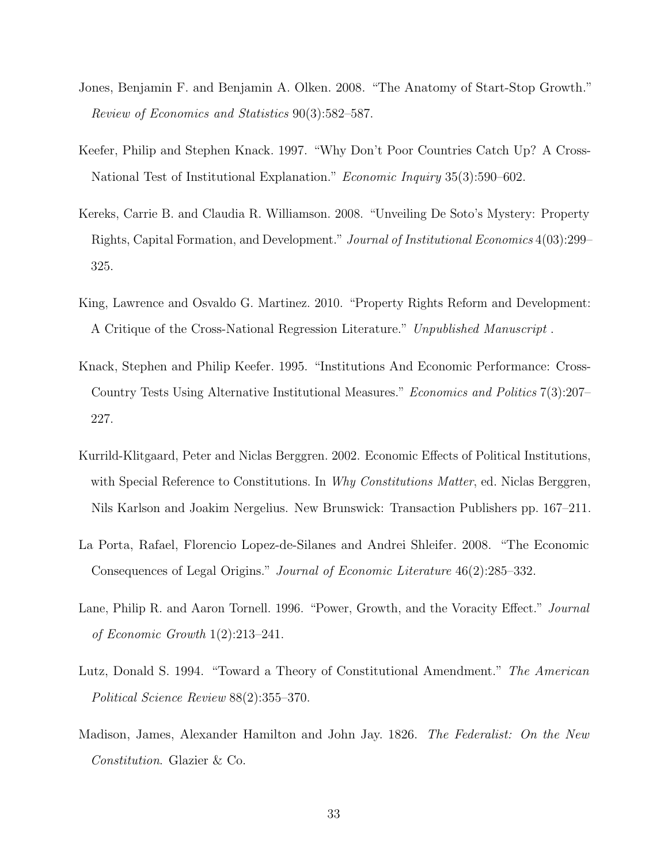- <span id="page-32-5"></span>Jones, Benjamin F. and Benjamin A. Olken. 2008. "The Anatomy of Start-Stop Growth." Review of Economics and Statistics 90(3):582–587.
- <span id="page-32-2"></span>Keefer, Philip and Stephen Knack. 1997. "Why Don't Poor Countries Catch Up? A Cross-National Test of Institutional Explanation." *Economic Inquiry* 35(3):590–602.
- <span id="page-32-3"></span>Kereks, Carrie B. and Claudia R. Williamson. 2008. "Unveiling De Soto's Mystery: Property Rights, Capital Formation, and Development." Journal of Institutional Economics 4(03):299– 325.
- <span id="page-32-4"></span>King, Lawrence and Osvaldo G. Martinez. 2010. "Property Rights Reform and Development: A Critique of the Cross-National Regression Literature." Unpublished Manuscript .
- <span id="page-32-1"></span>Knack, Stephen and Philip Keefer. 1995. "Institutions And Economic Performance: Cross-Country Tests Using Alternative Institutional Measures." Economics and Politics 7(3):207– 227.
- <span id="page-32-8"></span>Kurrild-Klitgaard, Peter and Niclas Berggren. 2002. Economic Effects of Political Institutions, with Special Reference to Constitutions. In Why Constitutions Matter, ed. Niclas Berggren, Nils Karlson and Joakim Nergelius. New Brunswick: Transaction Publishers pp. 167–211.
- <span id="page-32-0"></span>La Porta, Rafael, Florencio Lopez-de-Silanes and Andrei Shleifer. 2008. "The Economic Consequences of Legal Origins." Journal of Economic Literature 46(2):285–332.
- <span id="page-32-6"></span>Lane, Philip R. and Aaron Tornell. 1996. "Power, Growth, and the Voracity Effect." Journal of Economic Growth 1(2):213–241.
- <span id="page-32-9"></span>Lutz, Donald S. 1994. "Toward a Theory of Constitutional Amendment." The American Political Science Review 88(2):355–370.
- <span id="page-32-7"></span>Madison, James, Alexander Hamilton and John Jay. 1826. The Federalist: On the New Constitution. Glazier & Co.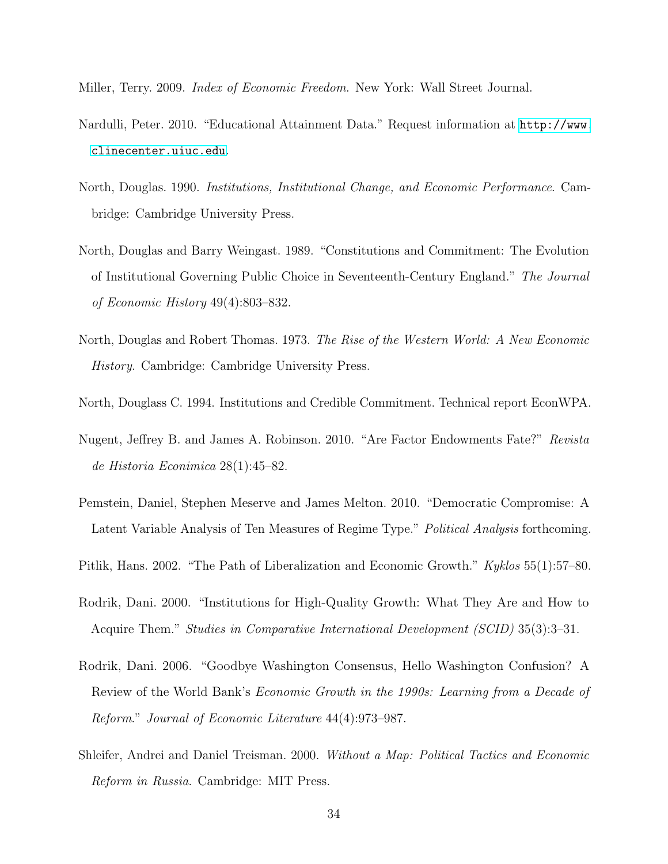<span id="page-33-9"></span>Miller, Terry. 2009. Index of Economic Freedom. New York: Wall Street Journal.

- <span id="page-33-10"></span>Nardulli, Peter. 2010. "Educational Attainment Data." Request information at [http://www.](http://www.clinecenter.uiuc.edu) [clinecenter.uiuc.edu](http://www.clinecenter.uiuc.edu).
- <span id="page-33-2"></span>North, Douglas. 1990. Institutions, Institutional Change, and Economic Performance. Cambridge: Cambridge University Press.
- <span id="page-33-4"></span>North, Douglas and Barry Weingast. 1989. "Constitutions and Commitment: The Evolution of Institutional Governing Public Choice in Seventeenth-Century England." The Journal of Economic History 49(4):803–832.
- <span id="page-33-1"></span>North, Douglas and Robert Thomas. 1973. The Rise of the Western World: A New Economic History. Cambridge: Cambridge University Press.
- <span id="page-33-6"></span>North, Douglass C. 1994. Institutions and Credible Commitment. Technical report EconWPA.
- <span id="page-33-5"></span>Nugent, Jeffrey B. and James A. Robinson. 2010. "Are Factor Endowments Fate?" Revista de Historia Econimica 28(1):45–82.
- <span id="page-33-11"></span>Pemstein, Daniel, Stephen Meserve and James Melton. 2010. "Democratic Compromise: A Latent Variable Analysis of Ten Measures of Regime Type." Political Analysis forthcoming.
- <span id="page-33-8"></span>Pitlik, Hans. 2002. "The Path of Liberalization and Economic Growth." Kyklos 55(1):57–80.
- <span id="page-33-3"></span>Rodrik, Dani. 2000. "Institutions for High-Quality Growth: What They Are and How to Acquire Them." Studies in Comparative International Development (SCID) 35(3):3–31.
- <span id="page-33-0"></span>Rodrik, Dani. 2006. "Goodbye Washington Consensus, Hello Washington Confusion? A Review of the World Bank's Economic Growth in the 1990s: Learning from a Decade of Reform." Journal of Economic Literature 44(4):973–987.
- <span id="page-33-7"></span>Shleifer, Andrei and Daniel Treisman. 2000. Without a Map: Political Tactics and Economic Reform in Russia. Cambridge: MIT Press.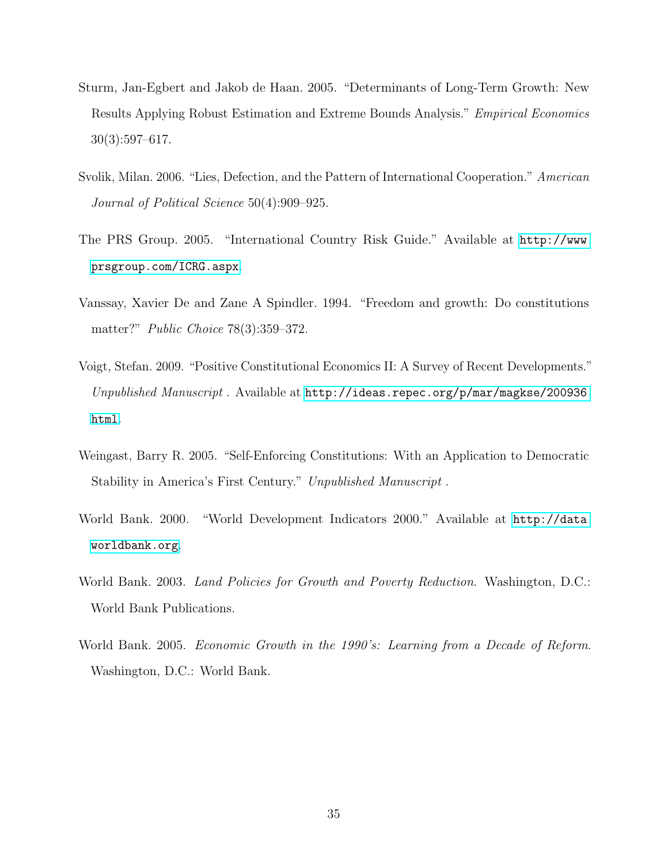- <span id="page-34-7"></span>Sturm, Jan-Egbert and Jakob de Haan. 2005. "Determinants of Long-Term Growth: New Results Applying Robust Estimation and Extreme Bounds Analysis." Empirical Economics 30(3):597–617.
- <span id="page-34-8"></span>Svolik, Milan. 2006. "Lies, Defection, and the Pattern of International Cooperation." American Journal of Political Science 50(4):909–925.
- <span id="page-34-5"></span>The PRS Group. 2005. "International Country Risk Guide." Available at [http://www.](http://www.prsgroup.com/ICRG.aspx) [prsgroup.com/ICRG.aspx](http://www.prsgroup.com/ICRG.aspx).
- <span id="page-34-2"></span>Vanssay, Xavier De and Zane A Spindler. 1994. "Freedom and growth: Do constitutions matter?" Public Choice 78(3):359–372.
- <span id="page-34-3"></span>Voigt, Stefan. 2009. "Positive Constitutional Economics II: A Survey of Recent Developments." Unpublished Manuscript. Available at [http://ideas.repec.org/p/mar/magkse/200936.](http://ideas.repec.org/p/mar/magkse/200936.html) [html](http://ideas.repec.org/p/mar/magkse/200936.html).
- <span id="page-34-4"></span>Weingast, Barry R. 2005. "Self-Enforcing Constitutions: With an Application to Democratic Stability in America's First Century." Unpublished Manuscript .
- <span id="page-34-6"></span>World Bank. 2000. "World Development Indicators 2000." Available at [http://data.](http://data.worldbank.org) [worldbank.org](http://data.worldbank.org).
- <span id="page-34-0"></span>World Bank. 2003. Land Policies for Growth and Poverty Reduction. Washington, D.C.: World Bank Publications.
- <span id="page-34-1"></span>World Bank. 2005. *Economic Growth in the 1990's: Learning from a Decade of Reform.* Washington, D.C.: World Bank.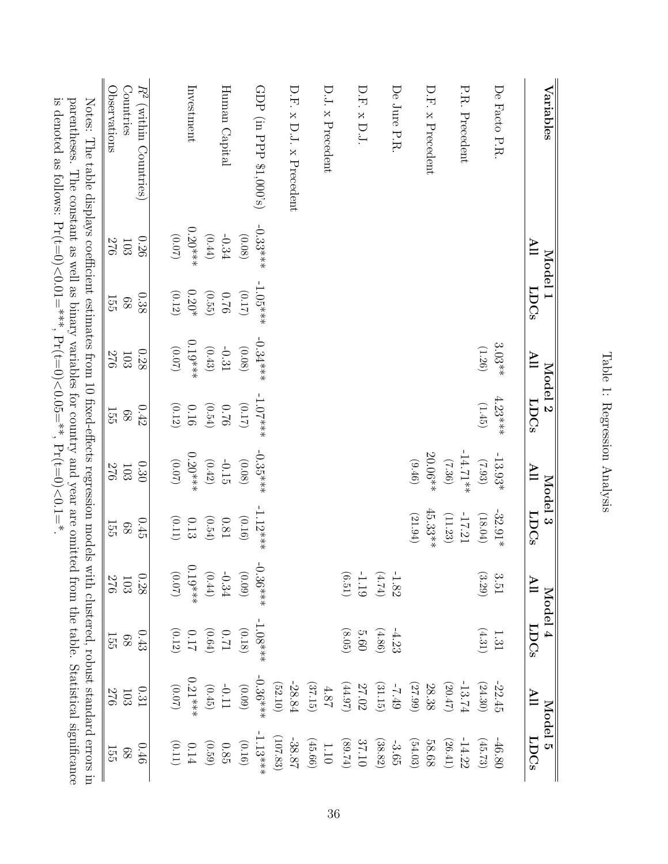<span id="page-35-0"></span>

|                                                                                                                                                                                                                                                                                                                                                     | <b>Observations</b><br>Countries | $R^2$<br>(within Countries) |                      | Investment    |                      | Human Capital |          | GDP (in PPP $\$1,000\text{'s})$ |          | $D.F. x D.J. x $ Precedent |                      | D.J. x Precedent |                                                       | D.F. x D.J  |           | De Jure P.R. |                 | D.F. x Precedent |                       | P.R. Precedent |          | De Facto P.R. |                         | Variables |  |
|-----------------------------------------------------------------------------------------------------------------------------------------------------------------------------------------------------------------------------------------------------------------------------------------------------------------------------------------------------|----------------------------------|-----------------------------|----------------------|---------------|----------------------|---------------|----------|---------------------------------|----------|----------------------------|----------------------|------------------|-------------------------------------------------------|-------------|-----------|--------------|-----------------|------------------|-----------------------|----------------|----------|---------------|-------------------------|-----------|--|
|                                                                                                                                                                                                                                                                                                                                                     | 570<br>103                       | 0.26                        | (0.07)               | $0.20***$     | (0.44)               | $-0.34$       | (0.08)   | $-0.33***$                      |          |                            |                      |                  |                                                       |             |           |              |                 |                  |                       |                |          |               | $\mathbf{H}$            | Model 1   |  |
|                                                                                                                                                                                                                                                                                                                                                     | $\frac{15}{25}$<br>89            | 0.38                        | (0.12)               | $0.20^{\ast}$ | (0.55)               | $0.76\,$      | $(0.17)$ | $-1.05***$                      |          |                            |                      |                  |                                                       |             |           |              |                 |                  |                       |                |          |               | <b>LDCs</b>             |           |  |
|                                                                                                                                                                                                                                                                                                                                                     | 576<br>$103\,$                   | $0.28\,$                    | $(20.07)$            | $0.19***$     | $\left( 0.43\right)$ | $-0.31$       | $(0.08)$ | $-0.34***$                      |          |                            |                      |                  |                                                       |             |           |              |                 |                  |                       |                | (1.26)   | $3.03**$      | $\blacksquare$          | Model 2   |  |
| Notes: The table displays coefficient estimates from 10 fixed-effects regression models<br>is denoted as follows: Pr(t=0)<0.01=***, Pr(t=0)<0.05=**, Pr(t=0)<0.1=**<br>parentheses. The constant as well as binary variables for country and year are omitted from the table. Statistical significance<br>with clustered, robust standard errors in | 155<br>$\, 88$                   | $0.42\,$                    | $\left( 0.12\right)$ | $0.16\,$      | (0.54)               | $0.76\,$      | $(0.17)$ | $-1.07$ ***                     |          |                            |                      |                  |                                                       |             |           |              |                 |                  |                       |                | (1.45)   | $4.23***$     | <b>LDCs</b>             |           |  |
|                                                                                                                                                                                                                                                                                                                                                     | 570<br>103                       | 0.30                        | $(0.07)$             | $0.20***$     | (0.42)               | $-0.15$       | (0.08)   | $-0.35***$                      |          |                            |                      |                  |                                                       |             |           |              | $(9f\text{·}6)$ | $20.06**$        | $(36)$                | $-14.71**$     | (7.93)   | $-13.93*$     | $\overline{\mathsf{H}}$ |           |  |
|                                                                                                                                                                                                                                                                                                                                                     | 155<br>89                        | $0.45\,$                    | (0.11)               | $0.13\,$      | (0.54)               | $0.81\,$      | (0.16)   | $-1.12$ ***                     |          |                            |                      |                  |                                                       |             |           |              | $(21.94)$       | $45.33**$        | (11.23)               | $-17.21$       | (18.04)  | $-32.91\ast$  | <b>LDCs</b>             | Model 3   |  |
|                                                                                                                                                                                                                                                                                                                                                     | 276                              | $0.28\,$<br>$103\,$         | $(20.07)$            | $0.19***$     | $\left( 0.44\right)$ | $-0.34$       | (60.09)  | $-0.36***$                      |          |                            |                      |                  | $\text{--}1.19$ $\,$                                  |             | (4.74)    | $-1.82$      |                 |                  |                       |                | $(3.29)$ | 3.51          | $\blacksquare$          |           |  |
|                                                                                                                                                                                                                                                                                                                                                     | 155<br>89                        | 0.43                        | $(0.12)$             | $0.17\,$      | $(0.64)$             | $U\!\!\!10$   | (0.18)   | $-1.08$ ***                     |          |                            |                      |                  | (8.05)                                                | <b>5.60</b> | $(4.86)$  | $-4.23$      |                 |                  |                       |                | (4.31)   | $1.31\,$      | <b>LDCs</b>             | Model 4   |  |
|                                                                                                                                                                                                                                                                                                                                                     | 570<br>$103\,$                   | 0.31                        | $(0.07)$             | $0.21***$     | (0.45)               | $-0.11$       | (60.0)   | $-0.36***$                      | (52.10)  | $-28.84$                   | (37.15)              | $4.87$           | (44.97)                                               | 27.02       | $(31.15)$ | $-7.49$      | (27.99)         | $28.38$          | (20.47)               | $-13.74$       | (24.30)  | $-22.45$      | $\blacksquare$          |           |  |
|                                                                                                                                                                                                                                                                                                                                                     | 155<br>89                        | 0.46                        | $(0.11)$             | $0.14\,$      | (0.59)               | $0.85\,$      | (0.16)   | $1.13***$                       | (107.83) | $-38.87$                   | $\left(45.66\right)$ | $1.10\,$         | $(\text{\ensuremath{\mathfrak{p}}\xspace}\text{-}68)$ | $37.10$     | $(38.82)$ | $-3.65$      | (54.03)         | 58.68            | $\left( 26.41\right)$ | $-14.22$       | (45.73)  | $-46.80$      | <b>LDCs</b>             | Model 5   |  |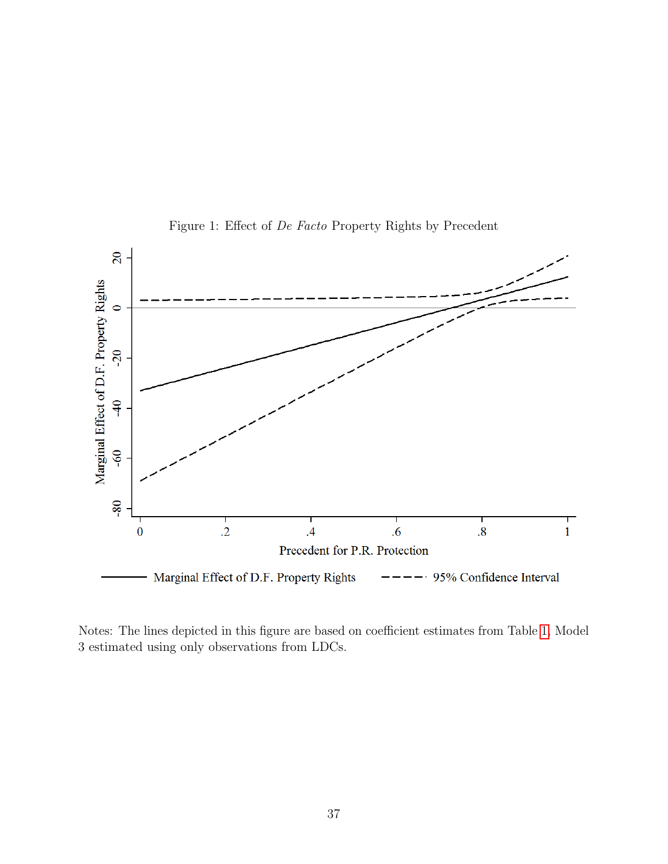

<span id="page-36-0"></span>Figure 1: Effect of De Facto Property Rights by Precedent

Notes: The lines depicted in this figure are based on coefficient estimates from Table [1,](#page-35-0) Model 3 estimated using only observations from LDCs.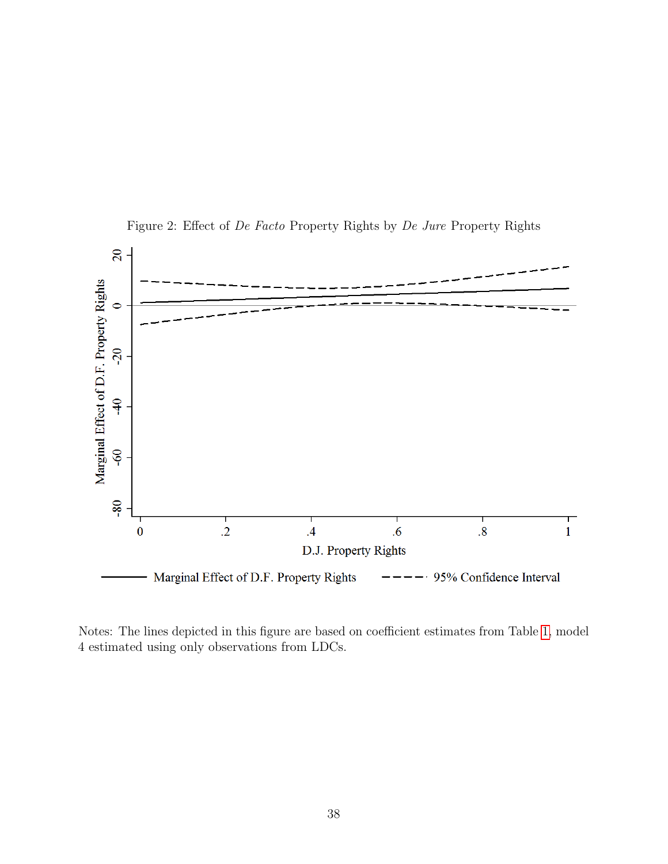

<span id="page-37-0"></span>Figure 2: Effect of De Facto Property Rights by De Jure Property Rights

Notes: The lines depicted in this figure are based on coefficient estimates from Table [1,](#page-35-0) model 4 estimated using only observations from LDCs.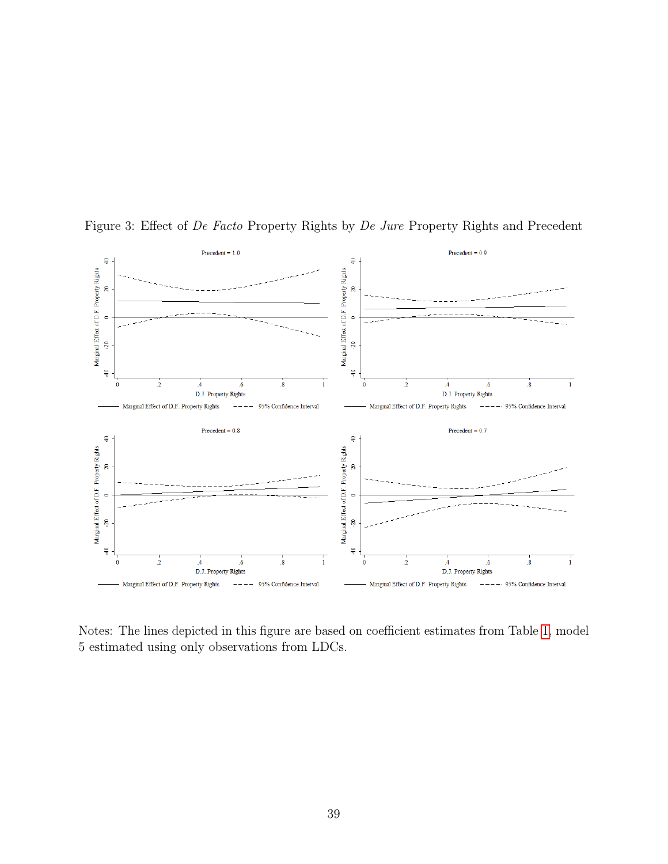

<span id="page-38-0"></span>Figure 3: Effect of De Facto Property Rights by De Jure Property Rights and Precedent

Notes: The lines depicted in this figure are based on coefficient estimates from Table [1,](#page-35-0) model 5 estimated using only observations from LDCs.